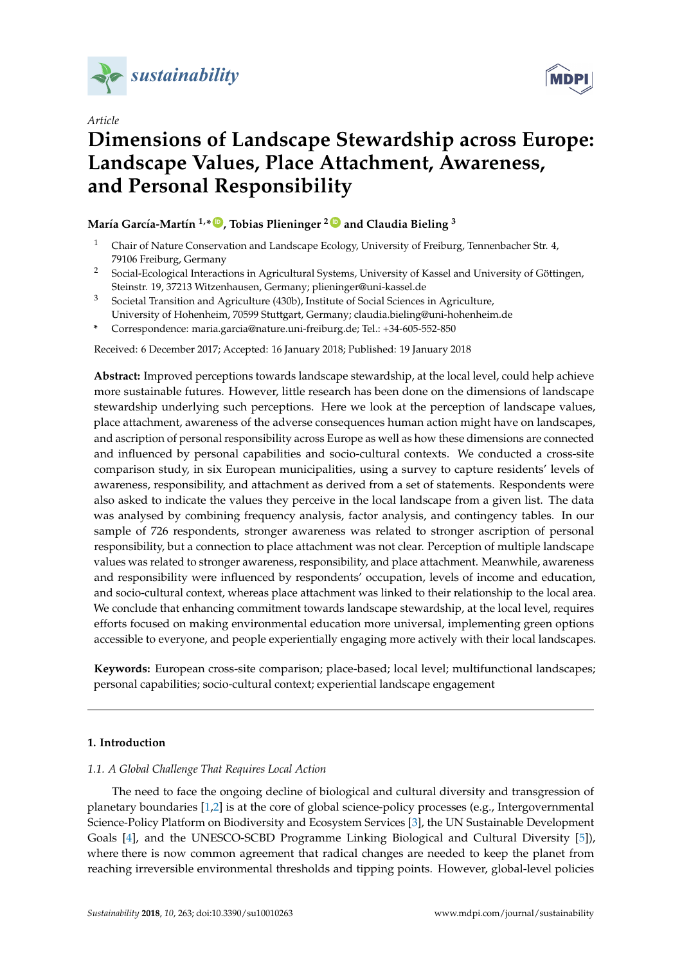

*Article*



# **Dimensions of Landscape Stewardship across Europe: Landscape Values, Place Attachment, Awareness, and Personal Responsibility**

## **María García-Martín 1,\* [ID](https://orcid.org/0000-0003-4616-3844) , Tobias Plieninger <sup>2</sup> [ID](https://orcid.org/0000-0003-1478-2587) and Claudia Bieling <sup>3</sup>**

- <sup>1</sup> Chair of Nature Conservation and Landscape Ecology, University of Freiburg, Tennenbacher Str. 4, 79106 Freiburg, Germany
- <sup>2</sup> Social-Ecological Interactions in Agricultural Systems, University of Kassel and University of Göttingen, Steinstr. 19, 37213 Witzenhausen, Germany; plieninger@uni-kassel.de
- <sup>3</sup> Societal Transition and Agriculture (430b), Institute of Social Sciences in Agriculture, University of Hohenheim, 70599 Stuttgart, Germany; claudia.bieling@uni-hohenheim.de
- **\*** Correspondence: maria.garcia@nature.uni-freiburg.de; Tel.: +34-605-552-850

Received: 6 December 2017; Accepted: 16 January 2018; Published: 19 January 2018

**Abstract:** Improved perceptions towards landscape stewardship, at the local level, could help achieve more sustainable futures. However, little research has been done on the dimensions of landscape stewardship underlying such perceptions. Here we look at the perception of landscape values, place attachment, awareness of the adverse consequences human action might have on landscapes, and ascription of personal responsibility across Europe as well as how these dimensions are connected and influenced by personal capabilities and socio-cultural contexts. We conducted a cross-site comparison study, in six European municipalities, using a survey to capture residents' levels of awareness, responsibility, and attachment as derived from a set of statements. Respondents were also asked to indicate the values they perceive in the local landscape from a given list. The data was analysed by combining frequency analysis, factor analysis, and contingency tables. In our sample of 726 respondents, stronger awareness was related to stronger ascription of personal responsibility, but a connection to place attachment was not clear. Perception of multiple landscape values was related to stronger awareness, responsibility, and place attachment. Meanwhile, awareness and responsibility were influenced by respondents' occupation, levels of income and education, and socio-cultural context, whereas place attachment was linked to their relationship to the local area. We conclude that enhancing commitment towards landscape stewardship, at the local level, requires efforts focused on making environmental education more universal, implementing green options accessible to everyone, and people experientially engaging more actively with their local landscapes.

**Keywords:** European cross-site comparison; place-based; local level; multifunctional landscapes; personal capabilities; socio-cultural context; experiential landscape engagement

## **1. Introduction**

## *1.1. A Global Challenge That Requires Local Action*

The need to face the ongoing decline of biological and cultural diversity and transgression of planetary boundaries [\[1,](#page-24-0)[2\]](#page-24-1) is at the core of global science-policy processes (e.g., Intergovernmental Science-Policy Platform on Biodiversity and Ecosystem Services [\[3\]](#page-24-2), the UN Sustainable Development Goals [\[4\]](#page-24-3), and the UNESCO-SCBD Programme Linking Biological and Cultural Diversity [\[5\]](#page-24-4)), where there is now common agreement that radical changes are needed to keep the planet from reaching irreversible environmental thresholds and tipping points. However, global-level policies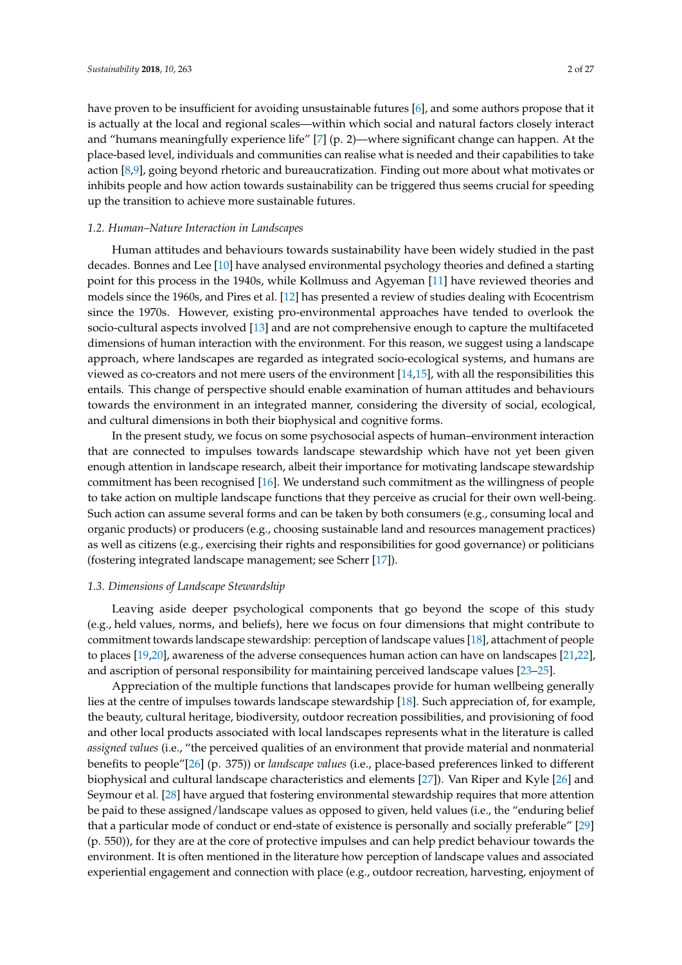have proven to be insufficient for avoiding unsustainable futures [\[6\]](#page-24-5), and some authors propose that it is actually at the local and regional scales—within which social and natural factors closely interact and "humans meaningfully experience life" [\[7\]](#page-24-6) (p. 2)—where significant change can happen. At the place-based level, individuals and communities can realise what is needed and their capabilities to take action [\[8,](#page-24-7)[9\]](#page-24-8), going beyond rhetoric and bureaucratization. Finding out more about what motivates or inhibits people and how action towards sustainability can be triggered thus seems crucial for speeding up the transition to achieve more sustainable futures.

#### *1.2. Human–Nature Interaction in Landscapes*

Human attitudes and behaviours towards sustainability have been widely studied in the past decades. Bonnes and Lee [\[10\]](#page-24-9) have analysed environmental psychology theories and defined a starting point for this process in the 1940s, while Kollmuss and Agyeman [\[11\]](#page-24-10) have reviewed theories and models since the 1960s, and Pires et al. [\[12\]](#page-24-11) has presented a review of studies dealing with Ecocentrism since the 1970s. However, existing pro-environmental approaches have tended to overlook the socio-cultural aspects involved [\[13\]](#page-24-12) and are not comprehensive enough to capture the multifaceted dimensions of human interaction with the environment. For this reason, we suggest using a landscape approach, where landscapes are regarded as integrated socio-ecological systems, and humans are viewed as co-creators and not mere users of the environment [\[14](#page-24-13)[,15\]](#page-24-14), with all the responsibilities this entails. This change of perspective should enable examination of human attitudes and behaviours towards the environment in an integrated manner, considering the diversity of social, ecological, and cultural dimensions in both their biophysical and cognitive forms.

In the present study, we focus on some psychosocial aspects of human–environment interaction that are connected to impulses towards landscape stewardship which have not yet been given enough attention in landscape research, albeit their importance for motivating landscape stewardship commitment has been recognised [\[16\]](#page-24-15). We understand such commitment as the willingness of people to take action on multiple landscape functions that they perceive as crucial for their own well-being. Such action can assume several forms and can be taken by both consumers (e.g., consuming local and organic products) or producers (e.g., choosing sustainable land and resources management practices) as well as citizens (e.g., exercising their rights and responsibilities for good governance) or politicians (fostering integrated landscape management; see Scherr [\[17\]](#page-24-16)).

## *1.3. Dimensions of Landscape Stewardship*

Leaving aside deeper psychological components that go beyond the scope of this study (e.g., held values, norms, and beliefs), here we focus on four dimensions that might contribute to commitment towards landscape stewardship: perception of landscape values [\[18\]](#page-24-17), attachment of people to places [\[19](#page-24-18)[,20\]](#page-24-19), awareness of the adverse consequences human action can have on landscapes [\[21](#page-24-20)[,22\]](#page-24-21), and ascription of personal responsibility for maintaining perceived landscape values [\[23](#page-24-22)[–25\]](#page-25-0).

Appreciation of the multiple functions that landscapes provide for human wellbeing generally lies at the centre of impulses towards landscape stewardship [\[18\]](#page-24-17). Such appreciation of, for example, the beauty, cultural heritage, biodiversity, outdoor recreation possibilities, and provisioning of food and other local products associated with local landscapes represents what in the literature is called *assigned values* (i.e., "the perceived qualities of an environment that provide material and nonmaterial benefits to people"[\[26\]](#page-25-1) (p. 375)) or *landscape values* (i.e., place-based preferences linked to different biophysical and cultural landscape characteristics and elements [\[27\]](#page-25-2)). Van Riper and Kyle [\[26\]](#page-25-1) and Seymour et al. [\[28\]](#page-25-3) have argued that fostering environmental stewardship requires that more attention be paid to these assigned/landscape values as opposed to given, held values (i.e., the "enduring belief that a particular mode of conduct or end-state of existence is personally and socially preferable" [\[29\]](#page-25-4) (p. 550)), for they are at the core of protective impulses and can help predict behaviour towards the environment. It is often mentioned in the literature how perception of landscape values and associated experiential engagement and connection with place (e.g., outdoor recreation, harvesting, enjoyment of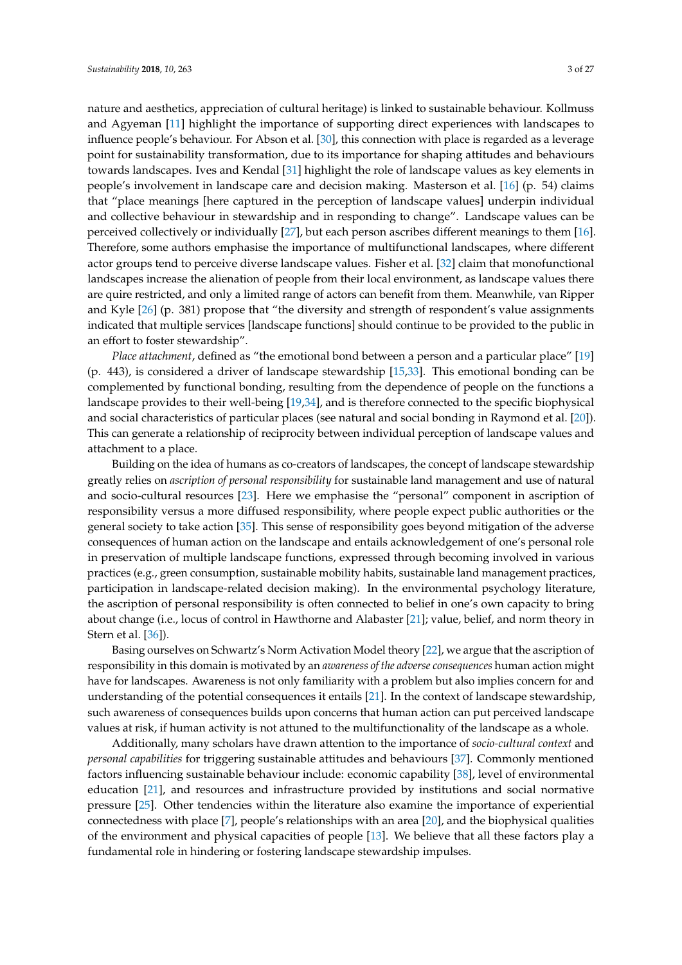nature and aesthetics, appreciation of cultural heritage) is linked to sustainable behaviour. Kollmuss and Agyeman [\[11\]](#page-24-10) highlight the importance of supporting direct experiences with landscapes to influence people's behaviour. For Abson et al. [\[30\]](#page-25-5), this connection with place is regarded as a leverage point for sustainability transformation, due to its importance for shaping attitudes and behaviours towards landscapes. Ives and Kendal [\[31\]](#page-25-6) highlight the role of landscape values as key elements in people's involvement in landscape care and decision making. Masterson et al. [\[16\]](#page-24-15) (p. 54) claims that "place meanings [here captured in the perception of landscape values] underpin individual and collective behaviour in stewardship and in responding to change". Landscape values can be perceived collectively or individually [\[27\]](#page-25-2), but each person ascribes different meanings to them [\[16\]](#page-24-15). Therefore, some authors emphasise the importance of multifunctional landscapes, where different actor groups tend to perceive diverse landscape values. Fisher et al. [\[32\]](#page-25-7) claim that monofunctional landscapes increase the alienation of people from their local environment, as landscape values there are quire restricted, and only a limited range of actors can benefit from them. Meanwhile, van Ripper and Kyle [\[26\]](#page-25-1) (p. 381) propose that "the diversity and strength of respondent's value assignments indicated that multiple services [landscape functions] should continue to be provided to the public in an effort to foster stewardship".

*Place attachment*, defined as "the emotional bond between a person and a particular place" [\[19\]](#page-24-18) (p. 443), is considered a driver of landscape stewardship [\[15](#page-24-14)[,33\]](#page-25-8). This emotional bonding can be complemented by functional bonding, resulting from the dependence of people on the functions a landscape provides to their well-being [\[19](#page-24-18)[,34\]](#page-25-9), and is therefore connected to the specific biophysical and social characteristics of particular places (see natural and social bonding in Raymond et al. [\[20\]](#page-24-19)). This can generate a relationship of reciprocity between individual perception of landscape values and attachment to a place.

Building on the idea of humans as co-creators of landscapes, the concept of landscape stewardship greatly relies on *ascription of personal responsibility* for sustainable land management and use of natural and socio-cultural resources [\[23\]](#page-24-22). Here we emphasise the "personal" component in ascription of responsibility versus a more diffused responsibility, where people expect public authorities or the general society to take action [\[35\]](#page-25-10). This sense of responsibility goes beyond mitigation of the adverse consequences of human action on the landscape and entails acknowledgement of one's personal role in preservation of multiple landscape functions, expressed through becoming involved in various practices (e.g., green consumption, sustainable mobility habits, sustainable land management practices, participation in landscape-related decision making). In the environmental psychology literature, the ascription of personal responsibility is often connected to belief in one's own capacity to bring about change (i.e., locus of control in Hawthorne and Alabaster [\[21\]](#page-24-20); value, belief, and norm theory in Stern et al. [\[36\]](#page-25-11)).

Basing ourselves on Schwartz's Norm Activation Model theory [\[22\]](#page-24-21), we argue that the ascription of responsibility in this domain is motivated by an *awareness of the adverse consequences* human action might have for landscapes. Awareness is not only familiarity with a problem but also implies concern for and understanding of the potential consequences it entails [\[21\]](#page-24-20). In the context of landscape stewardship, such awareness of consequences builds upon concerns that human action can put perceived landscape values at risk, if human activity is not attuned to the multifunctionality of the landscape as a whole.

Additionally, many scholars have drawn attention to the importance of *socio-cultural context* and *personal capabilities* for triggering sustainable attitudes and behaviours [\[37\]](#page-25-12). Commonly mentioned factors influencing sustainable behaviour include: economic capability [\[38\]](#page-25-13), level of environmental education [\[21\]](#page-24-20), and resources and infrastructure provided by institutions and social normative pressure [\[25\]](#page-25-0). Other tendencies within the literature also examine the importance of experiential connectedness with place [\[7\]](#page-24-6), people's relationships with an area [\[20\]](#page-24-19), and the biophysical qualities of the environment and physical capacities of people [\[13\]](#page-24-12). We believe that all these factors play a fundamental role in hindering or fostering landscape stewardship impulses.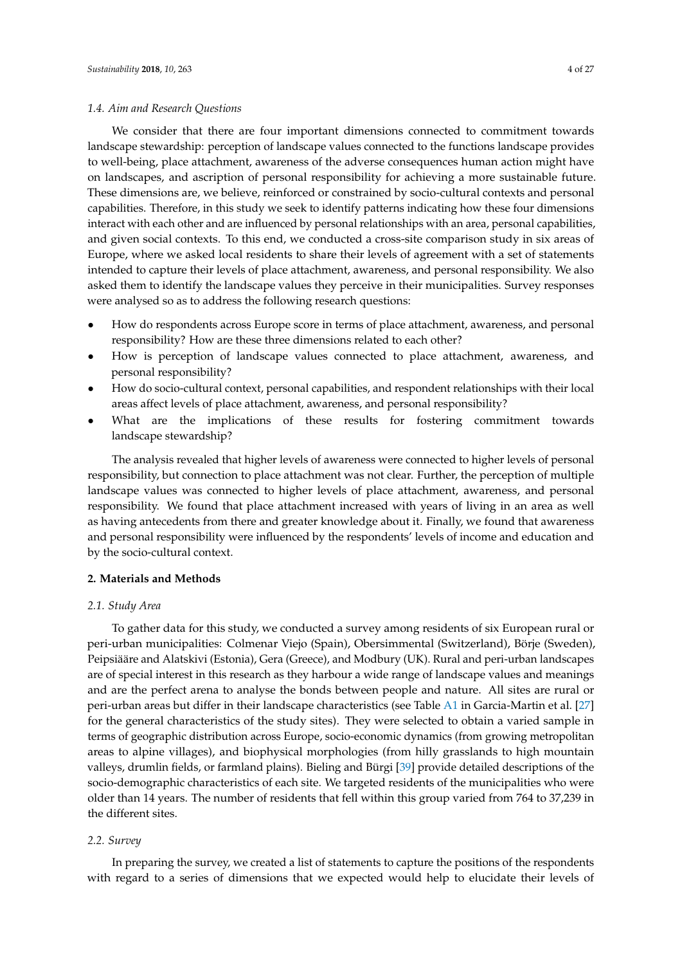## *1.4. Aim and Research Questions*

We consider that there are four important dimensions connected to commitment towards landscape stewardship: perception of landscape values connected to the functions landscape provides to well-being, place attachment, awareness of the adverse consequences human action might have on landscapes, and ascription of personal responsibility for achieving a more sustainable future. These dimensions are, we believe, reinforced or constrained by socio-cultural contexts and personal capabilities. Therefore, in this study we seek to identify patterns indicating how these four dimensions interact with each other and are influenced by personal relationships with an area, personal capabilities, and given social contexts. To this end, we conducted a cross-site comparison study in six areas of Europe, where we asked local residents to share their levels of agreement with a set of statements intended to capture their levels of place attachment, awareness, and personal responsibility. We also asked them to identify the landscape values they perceive in their municipalities. Survey responses were analysed so as to address the following research questions:

- How do respondents across Europe score in terms of place attachment, awareness, and personal responsibility? How are these three dimensions related to each other?
- How is perception of landscape values connected to place attachment, awareness, and personal responsibility?
- How do socio-cultural context, personal capabilities, and respondent relationships with their local areas affect levels of place attachment, awareness, and personal responsibility?
- What are the implications of these results for fostering commitment towards landscape stewardship?

The analysis revealed that higher levels of awareness were connected to higher levels of personal responsibility, but connection to place attachment was not clear. Further, the perception of multiple landscape values was connected to higher levels of place attachment, awareness, and personal responsibility. We found that place attachment increased with years of living in an area as well as having antecedents from there and greater knowledge about it. Finally, we found that awareness and personal responsibility were influenced by the respondents' levels of income and education and by the socio-cultural context.

#### **2. Materials and Methods**

#### *2.1. Study Area*

To gather data for this study, we conducted a survey among residents of six European rural or peri-urban municipalities: Colmenar Viejo (Spain), Obersimmental (Switzerland), Börje (Sweden), Peipsiääre and Alatskivi (Estonia), Gera (Greece), and Modbury (UK). Rural and peri-urban landscapes are of special interest in this research as they harbour a wide range of landscape values and meanings and are the perfect arena to analyse the bonds between people and nature. All sites are rural or peri-urban areas but differ in their landscape characteristics (see Table [A1](#page-12-0) in Garcia-Martin et al. [\[27\]](#page-25-2) for the general characteristics of the study sites). They were selected to obtain a varied sample in terms of geographic distribution across Europe, socio-economic dynamics (from growing metropolitan areas to alpine villages), and biophysical morphologies (from hilly grasslands to high mountain valleys, drumlin fields, or farmland plains). Bieling and Bürgi [\[39\]](#page-25-14) provide detailed descriptions of the socio-demographic characteristics of each site. We targeted residents of the municipalities who were older than 14 years. The number of residents that fell within this group varied from 764 to 37,239 in the different sites.

#### *2.2. Survey*

In preparing the survey, we created a list of statements to capture the positions of the respondents with regard to a series of dimensions that we expected would help to elucidate their levels of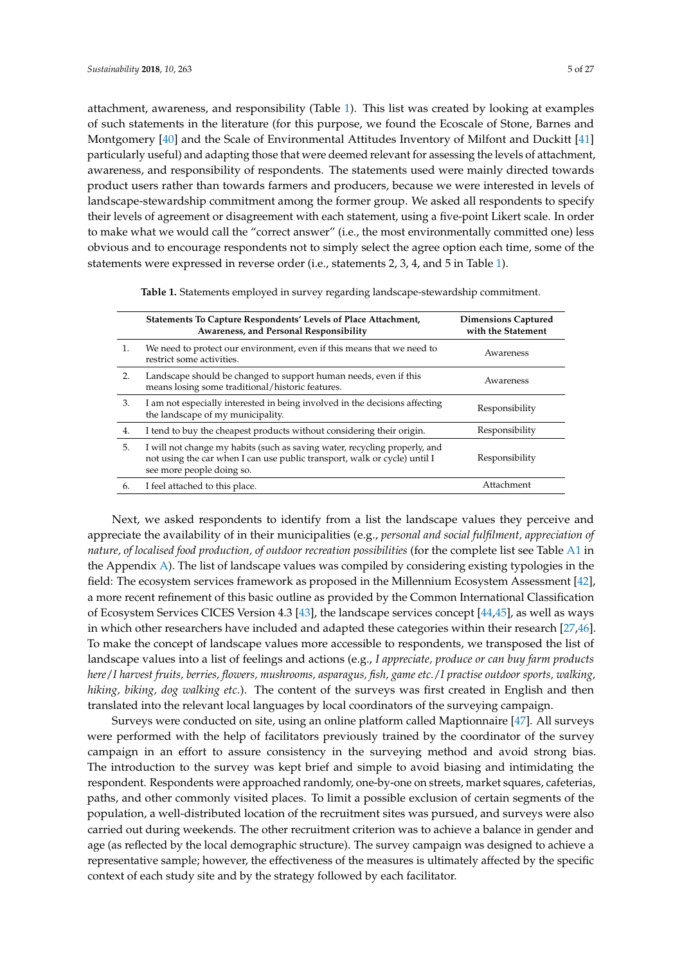attachment, awareness, and responsibility (Table [1\)](#page-4-0). This list was created by looking at examples of such statements in the literature (for this purpose, we found the Ecoscale of Stone, Barnes and Montgomery [\[40\]](#page-25-15) and the Scale of Environmental Attitudes Inventory of Milfont and Duckitt [\[41\]](#page-25-16) particularly useful) and adapting those that were deemed relevant for assessing the levels of attachment, awareness, and responsibility of respondents. The statements used were mainly directed towards product users rather than towards farmers and producers, because we were interested in levels of landscape-stewardship commitment among the former group. We asked all respondents to specify their levels of agreement or disagreement with each statement, using a five-point Likert scale. In order to make what we would call the "correct answer" (i.e., the most environmentally committed one) less obvious and to encourage respondents not to simply select the agree option each time, some of the statements were expressed in reverse order (i.e., statements 2, 3, 4, and 5 in Table [1\)](#page-4-0).

| Table 1. Statements employed in survey regarding landscape-stewardship commitment. |  |  |
|------------------------------------------------------------------------------------|--|--|
|------------------------------------------------------------------------------------|--|--|

<span id="page-4-0"></span>

|     | Statements To Capture Respondents' Levels of Place Attachment,<br>Awareness, and Personal Responsibility                                                                             | <b>Dimensions Captured</b><br>with the Statement |
|-----|--------------------------------------------------------------------------------------------------------------------------------------------------------------------------------------|--------------------------------------------------|
| 1.  | We need to protect our environment, even if this means that we need to<br>restrict some activities.                                                                                  | Awareness                                        |
| 2.  | Landscape should be changed to support human needs, even if this<br>means losing some traditional/historic features.                                                                 | Awareness                                        |
| 3.  | I am not especially interested in being involved in the decisions affecting<br>the landscape of my municipality.                                                                     | Responsibility                                   |
| 4.  | I tend to buy the cheapest products without considering their origin.                                                                                                                | Responsibility                                   |
| .5. | I will not change my habits (such as saving water, recycling properly, and<br>not using the car when I can use public transport, walk or cycle) until I<br>see more people doing so. | Responsibility                                   |
| 6.  | I feel attached to this place.                                                                                                                                                       | Attachment                                       |

Next, we asked respondents to identify from a list the landscape values they perceive and appreciate the availability of in their municipalities (e.g., *personal and social fulfilment, appreciation of nature, of localised food production, of outdoor recreation possibilities* (for the complete list see Table [A1](#page-12-0) in the Appendix [A\)](#page-12-1). The list of landscape values was compiled by considering existing typologies in the field: The ecosystem services framework as proposed in the Millennium Ecosystem Assessment [\[42\]](#page-25-17), a more recent refinement of this basic outline as provided by the Common International Classification of Ecosystem Services CICES Version 4.3 [\[43\]](#page-25-18), the landscape services concept [\[44](#page-25-19)[,45\]](#page-25-20), as well as ways in which other researchers have included and adapted these categories within their research [\[27,](#page-25-2)[46\]](#page-25-21). To make the concept of landscape values more accessible to respondents, we transposed the list of landscape values into a list of feelings and actions (e.g., *I appreciate, produce or can buy farm products here*/*I harvest fruits, berries, flowers, mushrooms, asparagus, fish, game etc.*/*I practise outdoor sports, walking, hiking, biking, dog walking etc.*). The content of the surveys was first created in English and then translated into the relevant local languages by local coordinators of the surveying campaign.

Surveys were conducted on site, using an online platform called Maptionnaire [\[47\]](#page-25-22). All surveys were performed with the help of facilitators previously trained by the coordinator of the survey campaign in an effort to assure consistency in the surveying method and avoid strong bias. The introduction to the survey was kept brief and simple to avoid biasing and intimidating the respondent. Respondents were approached randomly, one-by-one on streets, market squares, cafeterias, paths, and other commonly visited places. To limit a possible exclusion of certain segments of the population, a well-distributed location of the recruitment sites was pursued, and surveys were also carried out during weekends. The other recruitment criterion was to achieve a balance in gender and age (as reflected by the local demographic structure). The survey campaign was designed to achieve a representative sample; however, the effectiveness of the measures is ultimately affected by the specific context of each study site and by the strategy followed by each facilitator.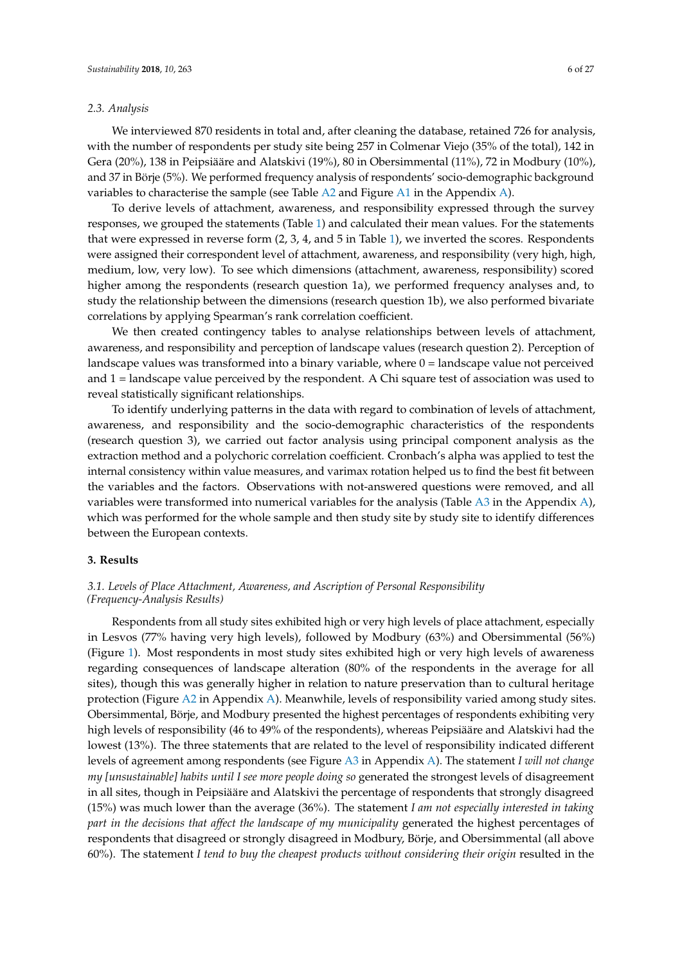## *2.3. Analysis*

We interviewed 870 residents in total and, after cleaning the database, retained 726 for analysis, with the number of respondents per study site being 257 in Colmenar Viejo (35% of the total), 142 in Gera (20%), 138 in Peipsiääre and Alatskivi (19%), 80 in Obersimmental (11%), 72 in Modbury (10%), and 37 in Börje (5%). We performed frequency analysis of respondents' socio-demographic background variables to characterise the sample (see Table [A2](#page-13-0) and Figure [A1](#page-15-0) in the Appendix [A\)](#page-12-1).

To derive levels of attachment, awareness, and responsibility expressed through the survey responses, we grouped the statements (Table [1\)](#page-4-0) and calculated their mean values. For the statements that were expressed in reverse form (2, 3, 4, and 5 in Table [1\)](#page-4-0), we inverted the scores. Respondents were assigned their correspondent level of attachment, awareness, and responsibility (very high, high, medium, low, very low). To see which dimensions (attachment, awareness, responsibility) scored higher among the respondents (research question 1a), we performed frequency analyses and, to study the relationship between the dimensions (research question 1b), we also performed bivariate correlations by applying Spearman's rank correlation coefficient.

We then created contingency tables to analyse relationships between levels of attachment, awareness, and responsibility and perception of landscape values (research question 2). Perception of landscape values was transformed into a binary variable, where  $0 =$  landscape value not perceived and  $1 =$  landscape value perceived by the respondent. A Chi square test of association was used to reveal statistically significant relationships.

To identify underlying patterns in the data with regard to combination of levels of attachment, awareness, and responsibility and the socio-demographic characteristics of the respondents (research question 3), we carried out factor analysis using principal component analysis as the extraction method and a polychoric correlation coefficient. Cronbach's alpha was applied to test the internal consistency within value measures, and varimax rotation helped us to find the best fit between the variables and the factors. Observations with not-answered questions were removed, and all variables were transformed into numerical variables for the analysis (Table [A3](#page-14-0) in the Appendix [A\)](#page-12-1), which was performed for the whole sample and then study site by study site to identify differences between the European contexts.

## **3. Results**

## *3.1. Levels of Place Attachment, Awareness, and Ascription of Personal Responsibility (Frequency-Analysis Results)*

Respondents from all study sites exhibited high or very high levels of place attachment, especially in Lesvos (77% having very high levels), followed by Modbury (63%) and Obersimmental (56%) (Figure [1\)](#page-6-0). Most respondents in most study sites exhibited high or very high levels of awareness regarding consequences of landscape alteration (80% of the respondents in the average for all sites), though this was generally higher in relation to nature preservation than to cultural heritage protection (Figure [A2](#page-16-0) in Appendix [A\)](#page-12-1). Meanwhile, levels of responsibility varied among study sites. Obersimmental, Börje, and Modbury presented the highest percentages of respondents exhibiting very high levels of responsibility (46 to 49% of the respondents), whereas Peipsiääre and Alatskivi had the lowest (13%). The three statements that are related to the level of responsibility indicated different levels of agreement among respondents (see Figure [A3](#page-17-0) in Appendix [A\)](#page-12-1). The statement *I will not change my [unsustainable] habits until I see more people doing so* generated the strongest levels of disagreement in all sites, though in Peipsiääre and Alatskivi the percentage of respondents that strongly disagreed (15%) was much lower than the average (36%). The statement *I am not especially interested in taking part in the decisions that affect the landscape of my municipality* generated the highest percentages of respondents that disagreed or strongly disagreed in Modbury, Börje, and Obersimmental (all above 60%). The statement *I tend to buy the cheapest products without considering their origin* resulted in the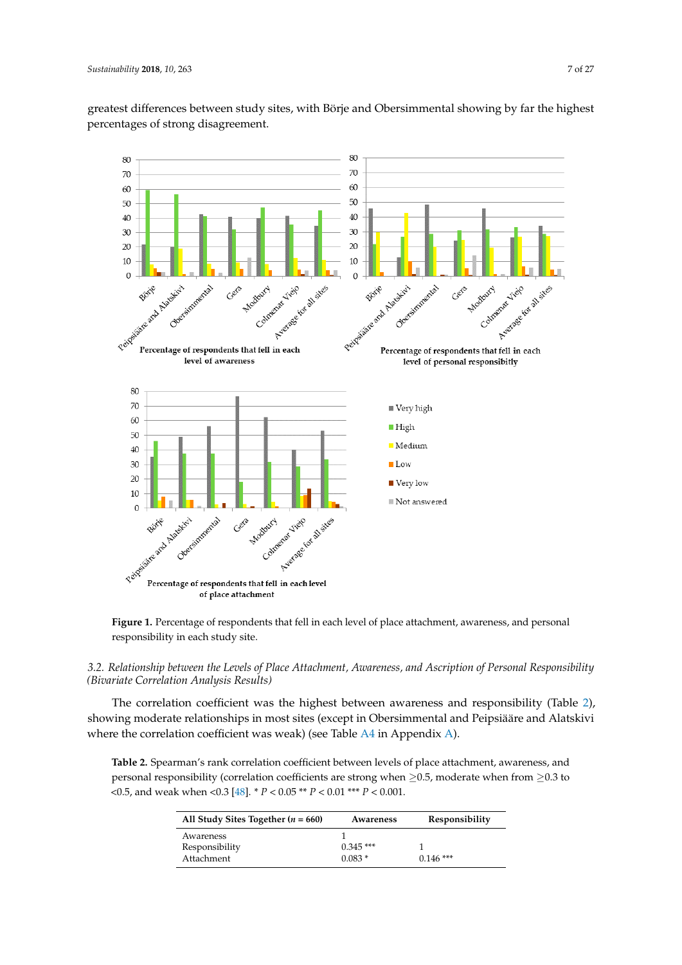greatest differences between study sites, with Börje and Obersimmental showing by far the highest percentages of strong disagreement. *Sustainability* **2018**, *10*, x FOR PEER REVIEW 7 of 27

<span id="page-6-0"></span>

**Figure 1.** Percentage of respondents that fell in each level of place attachment, awareness, and personal responsibility in each study site.

#### *Responsibility (Bivariate Correlation Analysis Results) 3.2. Relationship between the Levels of Place Attachment, Awareness, and Ascription of Personal Responsibility*  $T_{\text{t}}$  and  $T_{\text{t}}$  and responsibility (Table 2),  $T_{\text{t}}$ *(Bivariate Correlation Analysis Results)*

The correlation coefficient was the highest between awareness and responsibility (Table [2\)](#page-6-1), showing moderate relationships in most sites (except in Obersimmental and Peipsiääre and Alatskivi **Table 2.** Spearman's rank correlation coefficient between levels of place attachment, awareness, and where the correlation coefficient was weak) (see Table [A4](#page-18-0) in Appendix [A\)](#page-12-1).

<span id="page-6-1"></span>**Table 2.** Spearman's rank correlation coefficient between levels of place attachment, awareness, and  $\frac{1}{2}$   $\frac{1}{2}$   $\frac{1}{2}$   $\frac{1}{2}$   $\frac{1}{2}$  and correlation coefficients are strong when  $\geq 0.5$ , moderate when from  $\geq 0.3$  to **All Study Sites Together (***n* **= 660) Awareness Responsibility** <0.5, and weak when <0.3 [\[48\]](#page-26-0). \* *P* < 0.05 \*\* *P* < 0.01 \*\*\* *P* < 0.001.

| All Study Sites Together ( $n = 660$ )    | Awareness              | Responsibility |
|-------------------------------------------|------------------------|----------------|
| Awareness<br>Responsibility<br>Attachment | $0.345***$<br>$0.083*$ | $0.146$ ***    |
|                                           |                        |                |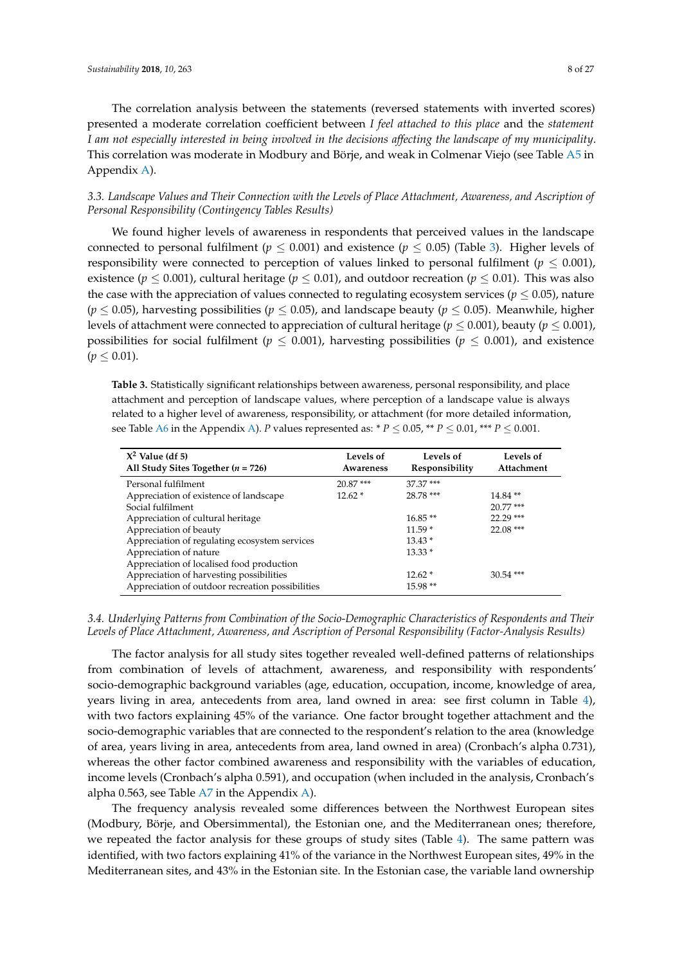The correlation analysis between the statements (reversed statements with inverted scores) presented a moderate correlation coefficient between *I feel attached to this place* and the *statement I am not especially interested in being involved in the decisions affecting the landscape of my municipality*. This correlation was moderate in Modbury and Börje, and weak in Colmenar Viejo (see Table [A5](#page-21-0) in Appendix [A\)](#page-12-1).

## *3.3. Landscape Values and Their Connection with the Levels of Place Attachment, Awareness, and Ascription of Personal Responsibility (Contingency Tables Results)*

We found higher levels of awareness in respondents that perceived values in the landscape connected to personal fulfilment ( $p \leq 0.001$ ) and existence ( $p \leq 0.05$ ) (Table [3\)](#page-7-0). Higher levels of responsibility were connected to perception of values linked to personal fulfilment ( $p \leq 0.001$ ), existence ( $p \leq 0.001$ ), cultural heritage ( $p \leq 0.01$ ), and outdoor recreation ( $p \leq 0.01$ ). This was also the case with the appreciation of values connected to regulating ecosystem services ( $p \leq 0.05$ ), nature ( $p \leq 0.05$ ), harvesting possibilities ( $p \leq 0.05$ ), and landscape beauty ( $p \leq 0.05$ ). Meanwhile, higher levels of attachment were connected to appreciation of cultural heritage ( $p \leq 0.001$ ), beauty ( $p \leq 0.001$ ), possibilities for social fulfilment ( $p \leq 0.001$ ), harvesting possibilities ( $p \leq 0.001$ ), and existence  $(p \leq 0.01)$ .

<span id="page-7-0"></span>**Table 3.** Statistically significant relationships between awareness, personal responsibility, and place attachment and perception of landscape values, where perception of a landscape value is always related to a higher level of awareness, responsibility, or attachment (for more detailed information, see Table [A6](#page-21-1) in the Appendix [A\)](#page-12-1). *P* values represented as: \*  $P \le 0.05$ , \*\*  $P \le 0.01$ , \*\*\*  $P \le 0.001$ .

| $X^2$ Value (df 5)<br>All Study Sites Together ( $n = 726$ ) | Levels of<br>Awareness | Levels of<br>Responsibility | Levels of<br>Attachment |
|--------------------------------------------------------------|------------------------|-----------------------------|-------------------------|
| Personal fulfilment                                          | $20.87***$             | $37.37$ ***                 |                         |
| Appreciation of existence of landscape                       | $12.62*$               | 28.78 ***                   | $14.84**$               |
| Social fulfilment                                            |                        |                             | $20.77***$              |
| Appreciation of cultural heritage                            |                        | $16.85**$                   | $22.29***$              |
| Appreciation of beauty                                       |                        | $11.59*$                    | $22.08***$              |
| Appreciation of regulating ecosystem services                |                        | $13.43*$                    |                         |
| Appreciation of nature                                       |                        | $13.33*$                    |                         |
| Appreciation of localised food production                    |                        |                             |                         |
| Appreciation of harvesting possibilities                     |                        | $12.62*$                    | $30.54$ ***             |
| Appreciation of outdoor recreation possibilities             |                        | 15.98 **                    |                         |

*3.4. Underlying Patterns from Combination of the Socio-Demographic Characteristics of Respondents and Their Levels of Place Attachment, Awareness, and Ascription of Personal Responsibility (Factor-Analysis Results)*

The factor analysis for all study sites together revealed well-defined patterns of relationships from combination of levels of attachment, awareness, and responsibility with respondents' socio-demographic background variables (age, education, occupation, income, knowledge of area, years living in area, antecedents from area, land owned in area: see first column in Table [4\)](#page-8-0), with two factors explaining 45% of the variance. One factor brought together attachment and the socio-demographic variables that are connected to the respondent's relation to the area (knowledge of area, years living in area, antecedents from area, land owned in area) (Cronbach's alpha 0.731), whereas the other factor combined awareness and responsibility with the variables of education, income levels (Cronbach's alpha 0.591), and occupation (when included in the analysis, Cronbach's alpha 0.563, see Table  $A$ 7 in the Appendix [A\)](#page-12-1).

The frequency analysis revealed some differences between the Northwest European sites (Modbury, Börje, and Obersimmental), the Estonian one, and the Mediterranean ones; therefore, we repeated the factor analysis for these groups of study sites (Table [4\)](#page-8-0). The same pattern was identified, with two factors explaining 41% of the variance in the Northwest European sites, 49% in the Mediterranean sites, and 43% in the Estonian site. In the Estonian case, the variable land ownership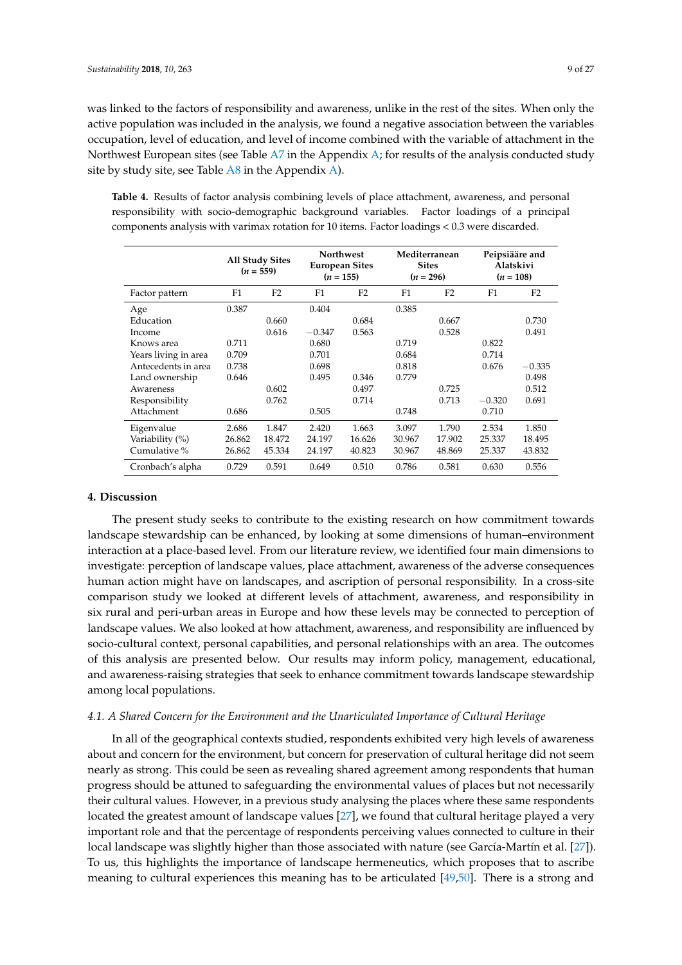was linked to the factors of responsibility and awareness, unlike in the rest of the sites. When only the active population was included in the analysis, we found a negative association between the variables occupation, level of education, and level of income combined with the variable of attachment in the Northwest European sites (see Table [A7](#page-22-0) in the Appendix [A;](#page-12-1) for results of the analysis conducted study site by study site, see Table  $A8$  in the Appendix [A\)](#page-12-1).

<span id="page-8-0"></span>**Table 4.** Results of factor analysis combining levels of place attachment, awareness, and personal responsibility with socio-demographic background variables. Factor loadings of a principal components analysis with varimax rotation for 10 items. Factor loadings < 0.3 were discarded.

|                      |        | <b>All Study Sites</b><br>$(n = 559)$ | <b>Northwest</b><br><b>European Sites</b><br>$(n = 155)$ |        | Mediterranean<br><b>Sites</b><br>$(n = 296)$ |                | Peipsiääre and<br>Alatskivi<br>$(n = 108)$ |          |
|----------------------|--------|---------------------------------------|----------------------------------------------------------|--------|----------------------------------------------|----------------|--------------------------------------------|----------|
| Factor pattern       | F1     | F <sub>2</sub>                        | F1                                                       | F2     | F1                                           | F <sub>2</sub> | F1                                         | F2       |
| Age                  | 0.387  |                                       | 0.404                                                    |        | 0.385                                        |                |                                            |          |
| Education            |        | 0.660                                 |                                                          | 0.684  |                                              | 0.667          |                                            | 0.730    |
| Income               |        | 0.616                                 | $-0.347$                                                 | 0.563  |                                              | 0.528          |                                            | 0.491    |
| Knows area           | 0.711  |                                       | 0.680                                                    |        | 0.719                                        |                | 0.822                                      |          |
| Years living in area | 0.709  |                                       | 0.701                                                    |        | 0.684                                        |                | 0.714                                      |          |
| Antecedents in area  | 0.738  |                                       | 0.698                                                    |        | 0.818                                        |                | 0.676                                      | $-0.335$ |
| Land ownership       | 0.646  |                                       | 0.495                                                    | 0.346  | 0.779                                        |                |                                            | 0.498    |
| Awareness            |        | 0.602                                 |                                                          | 0.497  |                                              | 0.725          |                                            | 0.512    |
| Responsibility       |        | 0.762                                 |                                                          | 0.714  |                                              | 0.713          | $-0.320$                                   | 0.691    |
| Attachment           | 0.686  |                                       | 0.505                                                    |        | 0.748                                        |                | 0.710                                      |          |
| Eigenvalue           | 2.686  | 1.847                                 | 2.420                                                    | 1.663  | 3.097                                        | 1.790          | 2.534                                      | 1.850    |
| Variability (%)      | 26.862 | 18.472                                | 24.197                                                   | 16.626 | 30.967                                       | 17.902         | 25.337                                     | 18.495   |
| Cumulative %         | 26.862 | 45.334                                | 24.197                                                   | 40.823 | 30.967                                       | 48.869         | 25.337                                     | 43.832   |
| Cronbach's alpha     | 0.729  | 0.591                                 | 0.649                                                    | 0.510  | 0.786                                        | 0.581          | 0.630                                      | 0.556    |

## **4. Discussion**

The present study seeks to contribute to the existing research on how commitment towards landscape stewardship can be enhanced, by looking at some dimensions of human–environment interaction at a place-based level. From our literature review, we identified four main dimensions to investigate: perception of landscape values, place attachment, awareness of the adverse consequences human action might have on landscapes, and ascription of personal responsibility. In a cross-site comparison study we looked at different levels of attachment, awareness, and responsibility in six rural and peri-urban areas in Europe and how these levels may be connected to perception of landscape values. We also looked at how attachment, awareness, and responsibility are influenced by socio-cultural context, personal capabilities, and personal relationships with an area. The outcomes of this analysis are presented below. Our results may inform policy, management, educational, and awareness-raising strategies that seek to enhance commitment towards landscape stewardship among local populations.

#### *4.1. A Shared Concern for the Environment and the Unarticulated Importance of Cultural Heritage*

In all of the geographical contexts studied, respondents exhibited very high levels of awareness about and concern for the environment, but concern for preservation of cultural heritage did not seem nearly as strong. This could be seen as revealing shared agreement among respondents that human progress should be attuned to safeguarding the environmental values of places but not necessarily their cultural values. However, in a previous study analysing the places where these same respondents located the greatest amount of landscape values [\[27\]](#page-25-2), we found that cultural heritage played a very important role and that the percentage of respondents perceiving values connected to culture in their local landscape was slightly higher than those associated with nature (see García-Martín et al. [\[27\]](#page-25-2)). To us, this highlights the importance of landscape hermeneutics, which proposes that to ascribe meaning to cultural experiences this meaning has to be articulated [\[49,](#page-26-1)[50\]](#page-26-2). There is a strong and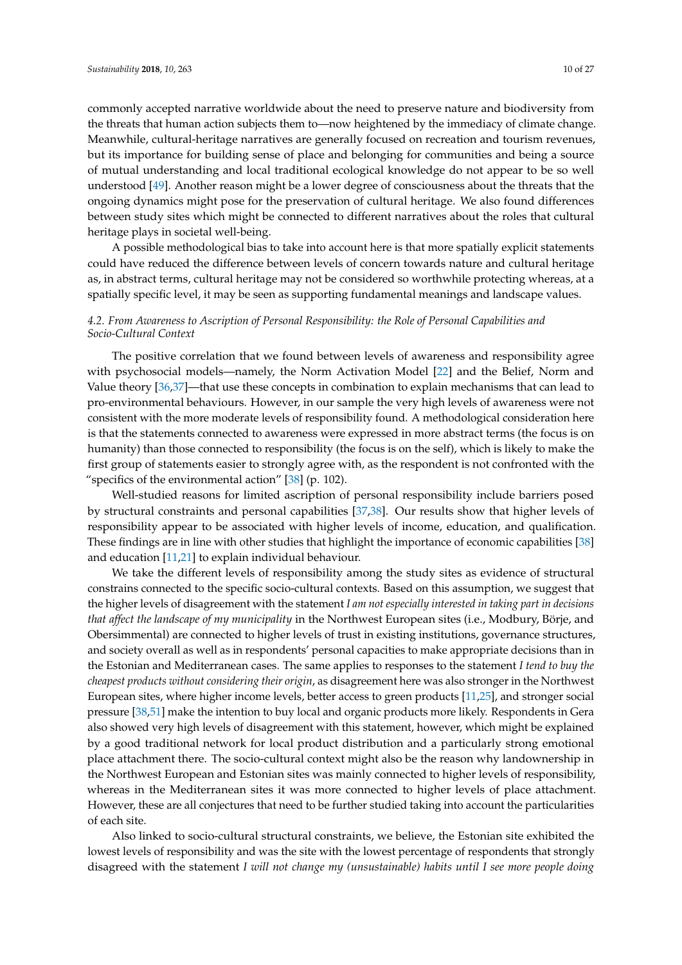commonly accepted narrative worldwide about the need to preserve nature and biodiversity from the threats that human action subjects them to—now heightened by the immediacy of climate change. Meanwhile, cultural-heritage narratives are generally focused on recreation and tourism revenues, but its importance for building sense of place and belonging for communities and being a source of mutual understanding and local traditional ecological knowledge do not appear to be so well understood [\[49\]](#page-26-1). Another reason might be a lower degree of consciousness about the threats that the ongoing dynamics might pose for the preservation of cultural heritage. We also found differences between study sites which might be connected to different narratives about the roles that cultural heritage plays in societal well-being.

A possible methodological bias to take into account here is that more spatially explicit statements could have reduced the difference between levels of concern towards nature and cultural heritage as, in abstract terms, cultural heritage may not be considered so worthwhile protecting whereas, at a spatially specific level, it may be seen as supporting fundamental meanings and landscape values.

## *4.2. From Awareness to Ascription of Personal Responsibility: the Role of Personal Capabilities and Socio-Cultural Context*

The positive correlation that we found between levels of awareness and responsibility agree with psychosocial models—namely, the Norm Activation Model [\[22\]](#page-24-21) and the Belief, Norm and Value theory [\[36](#page-25-11)[,37\]](#page-25-12)—that use these concepts in combination to explain mechanisms that can lead to pro-environmental behaviours. However, in our sample the very high levels of awareness were not consistent with the more moderate levels of responsibility found. A methodological consideration here is that the statements connected to awareness were expressed in more abstract terms (the focus is on humanity) than those connected to responsibility (the focus is on the self), which is likely to make the first group of statements easier to strongly agree with, as the respondent is not confronted with the "specifics of the environmental action"  $[38]$  (p. 102).

Well-studied reasons for limited ascription of personal responsibility include barriers posed by structural constraints and personal capabilities [\[37](#page-25-12)[,38\]](#page-25-13). Our results show that higher levels of responsibility appear to be associated with higher levels of income, education, and qualification. These findings are in line with other studies that highlight the importance of economic capabilities [\[38\]](#page-25-13) and education [\[11](#page-24-10)[,21\]](#page-24-20) to explain individual behaviour.

We take the different levels of responsibility among the study sites as evidence of structural constrains connected to the specific socio-cultural contexts. Based on this assumption, we suggest that the higher levels of disagreement with the statement *I am not especially interested in taking part in decisions that affect the landscape of my municipality* in the Northwest European sites (i.e., Modbury, Börje, and Obersimmental) are connected to higher levels of trust in existing institutions, governance structures, and society overall as well as in respondents' personal capacities to make appropriate decisions than in the Estonian and Mediterranean cases. The same applies to responses to the statement *I tend to buy the cheapest products without considering their origin*, as disagreement here was also stronger in the Northwest European sites, where higher income levels, better access to green products [\[11](#page-24-10)[,25\]](#page-25-0), and stronger social pressure [\[38](#page-25-13)[,51\]](#page-26-3) make the intention to buy local and organic products more likely. Respondents in Gera also showed very high levels of disagreement with this statement, however, which might be explained by a good traditional network for local product distribution and a particularly strong emotional place attachment there. The socio-cultural context might also be the reason why landownership in the Northwest European and Estonian sites was mainly connected to higher levels of responsibility, whereas in the Mediterranean sites it was more connected to higher levels of place attachment. However, these are all conjectures that need to be further studied taking into account the particularities of each site.

Also linked to socio-cultural structural constraints, we believe, the Estonian site exhibited the lowest levels of responsibility and was the site with the lowest percentage of respondents that strongly disagreed with the statement *I will not change my (unsustainable) habits until I see more people doing*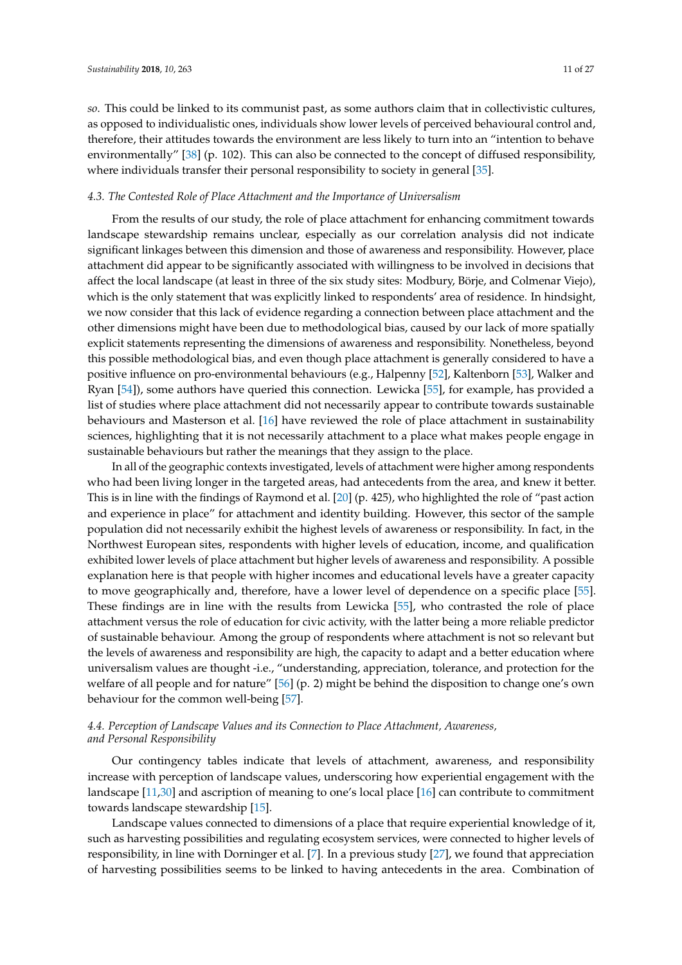*so*. This could be linked to its communist past, as some authors claim that in collectivistic cultures, as opposed to individualistic ones, individuals show lower levels of perceived behavioural control and, therefore, their attitudes towards the environment are less likely to turn into an "intention to behave environmentally" [\[38\]](#page-25-13) (p. 102). This can also be connected to the concept of diffused responsibility, where individuals transfer their personal responsibility to society in general [\[35\]](#page-25-10).

## *4.3. The Contested Role of Place Attachment and the Importance of Universalism*

From the results of our study, the role of place attachment for enhancing commitment towards landscape stewardship remains unclear, especially as our correlation analysis did not indicate significant linkages between this dimension and those of awareness and responsibility. However, place attachment did appear to be significantly associated with willingness to be involved in decisions that affect the local landscape (at least in three of the six study sites: Modbury, Börje, and Colmenar Viejo), which is the only statement that was explicitly linked to respondents' area of residence. In hindsight, we now consider that this lack of evidence regarding a connection between place attachment and the other dimensions might have been due to methodological bias, caused by our lack of more spatially explicit statements representing the dimensions of awareness and responsibility. Nonetheless, beyond this possible methodological bias, and even though place attachment is generally considered to have a positive influence on pro-environmental behaviours (e.g., Halpenny [\[52\]](#page-26-4), Kaltenborn [\[53\]](#page-26-5), Walker and Ryan [\[54\]](#page-26-6)), some authors have queried this connection. Lewicka [\[55\]](#page-26-7), for example, has provided a list of studies where place attachment did not necessarily appear to contribute towards sustainable behaviours and Masterson et al. [\[16\]](#page-24-15) have reviewed the role of place attachment in sustainability sciences, highlighting that it is not necessarily attachment to a place what makes people engage in sustainable behaviours but rather the meanings that they assign to the place.

In all of the geographic contexts investigated, levels of attachment were higher among respondents who had been living longer in the targeted areas, had antecedents from the area, and knew it better. This is in line with the findings of Raymond et al. [\[20\]](#page-24-19) (p. 425), who highlighted the role of "past action and experience in place" for attachment and identity building. However, this sector of the sample population did not necessarily exhibit the highest levels of awareness or responsibility. In fact, in the Northwest European sites, respondents with higher levels of education, income, and qualification exhibited lower levels of place attachment but higher levels of awareness and responsibility. A possible explanation here is that people with higher incomes and educational levels have a greater capacity to move geographically and, therefore, have a lower level of dependence on a specific place [\[55\]](#page-26-7). These findings are in line with the results from Lewicka [\[55\]](#page-26-7), who contrasted the role of place attachment versus the role of education for civic activity, with the latter being a more reliable predictor of sustainable behaviour. Among the group of respondents where attachment is not so relevant but the levels of awareness and responsibility are high, the capacity to adapt and a better education where universalism values are thought -i.e., "understanding, appreciation, tolerance, and protection for the welfare of all people and for nature" [\[56\]](#page-26-8) (p. 2) might be behind the disposition to change one's own behaviour for the common well-being [\[57\]](#page-26-9).

## *4.4. Perception of Landscape Values and its Connection to Place Attachment, Awareness, and Personal Responsibility*

Our contingency tables indicate that levels of attachment, awareness, and responsibility increase with perception of landscape values, underscoring how experiential engagement with the landscape [\[11,](#page-24-10)[30\]](#page-25-5) and ascription of meaning to one's local place [\[16\]](#page-24-15) can contribute to commitment towards landscape stewardship [\[15\]](#page-24-14).

Landscape values connected to dimensions of a place that require experiential knowledge of it, such as harvesting possibilities and regulating ecosystem services, were connected to higher levels of responsibility, in line with Dorninger et al. [\[7\]](#page-24-6). In a previous study [\[27\]](#page-25-2), we found that appreciation of harvesting possibilities seems to be linked to having antecedents in the area. Combination of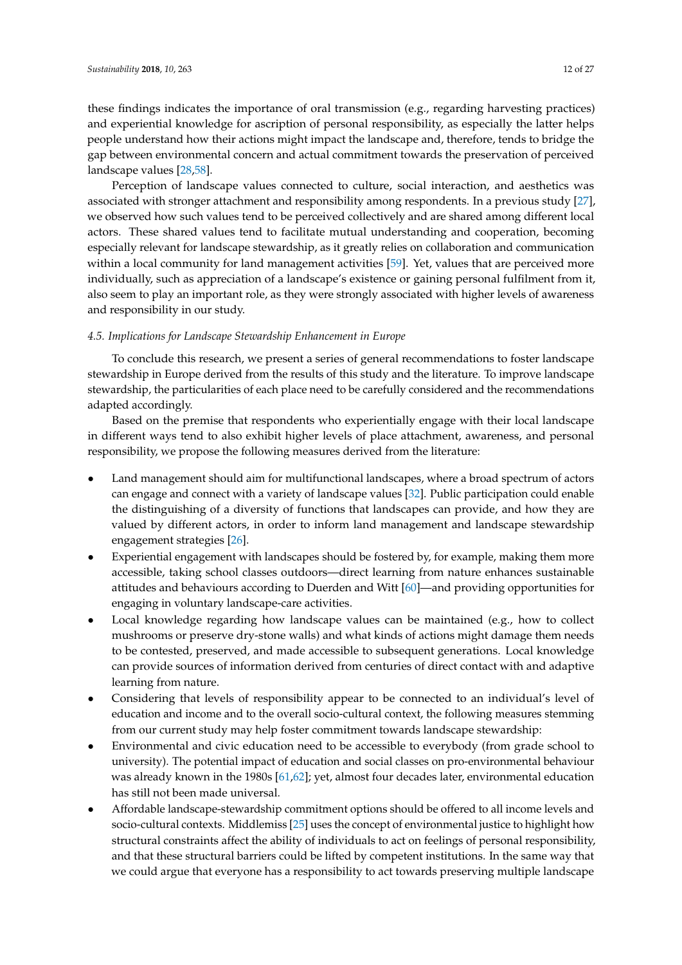these findings indicates the importance of oral transmission (e.g., regarding harvesting practices) and experiential knowledge for ascription of personal responsibility, as especially the latter helps people understand how their actions might impact the landscape and, therefore, tends to bridge the gap between environmental concern and actual commitment towards the preservation of perceived landscape values [\[28](#page-25-3)[,58\]](#page-26-10).

Perception of landscape values connected to culture, social interaction, and aesthetics was associated with stronger attachment and responsibility among respondents. In a previous study [\[27\]](#page-25-2), we observed how such values tend to be perceived collectively and are shared among different local actors. These shared values tend to facilitate mutual understanding and cooperation, becoming especially relevant for landscape stewardship, as it greatly relies on collaboration and communication within a local community for land management activities [\[59\]](#page-26-11). Yet, values that are perceived more individually, such as appreciation of a landscape's existence or gaining personal fulfilment from it, also seem to play an important role, as they were strongly associated with higher levels of awareness and responsibility in our study.

## *4.5. Implications for Landscape Stewardship Enhancement in Europe*

To conclude this research, we present a series of general recommendations to foster landscape stewardship in Europe derived from the results of this study and the literature. To improve landscape stewardship, the particularities of each place need to be carefully considered and the recommendations adapted accordingly.

Based on the premise that respondents who experientially engage with their local landscape in different ways tend to also exhibit higher levels of place attachment, awareness, and personal responsibility, we propose the following measures derived from the literature:

- Land management should aim for multifunctional landscapes, where a broad spectrum of actors can engage and connect with a variety of landscape values [\[32\]](#page-25-7). Public participation could enable the distinguishing of a diversity of functions that landscapes can provide, and how they are valued by different actors, in order to inform land management and landscape stewardship engagement strategies [\[26\]](#page-25-1).
- Experiential engagement with landscapes should be fostered by, for example, making them more accessible, taking school classes outdoors—direct learning from nature enhances sustainable attitudes and behaviours according to Duerden and Witt [\[60\]](#page-26-12)—and providing opportunities for engaging in voluntary landscape-care activities.
- Local knowledge regarding how landscape values can be maintained (e.g., how to collect mushrooms or preserve dry-stone walls) and what kinds of actions might damage them needs to be contested, preserved, and made accessible to subsequent generations. Local knowledge can provide sources of information derived from centuries of direct contact with and adaptive learning from nature.
- Considering that levels of responsibility appear to be connected to an individual's level of education and income and to the overall socio-cultural context, the following measures stemming from our current study may help foster commitment towards landscape stewardship:
- Environmental and civic education need to be accessible to everybody (from grade school to university). The potential impact of education and social classes on pro-environmental behaviour was already known in the 1980s [\[61](#page-26-13)[,62\]](#page-26-14); yet, almost four decades later, environmental education has still not been made universal.
- Affordable landscape-stewardship commitment options should be offered to all income levels and socio-cultural contexts. Middlemiss [\[25\]](#page-25-0) uses the concept of environmental justice to highlight how structural constraints affect the ability of individuals to act on feelings of personal responsibility, and that these structural barriers could be lifted by competent institutions. In the same way that we could argue that everyone has a responsibility to act towards preserving multiple landscape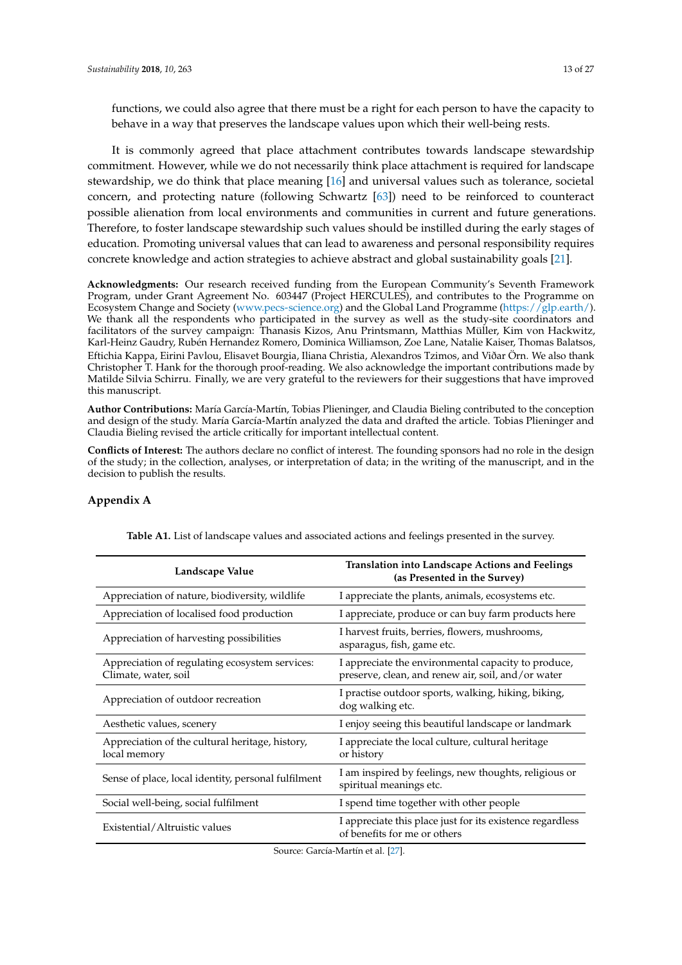functions, we could also agree that there must be a right for each person to have the capacity to behave in a way that preserves the landscape values upon which their well-being rests.

It is commonly agreed that place attachment contributes towards landscape stewardship commitment. However, while we do not necessarily think place attachment is required for landscape stewardship, we do think that place meaning [\[16\]](#page-24-15) and universal values such as tolerance, societal concern, and protecting nature (following Schwartz [\[63\]](#page-26-15)) need to be reinforced to counteract possible alienation from local environments and communities in current and future generations. Therefore, to foster landscape stewardship such values should be instilled during the early stages of education. Promoting universal values that can lead to awareness and personal responsibility requires concrete knowledge and action strategies to achieve abstract and global sustainability goals [\[21\]](#page-24-20).

**Acknowledgments:** Our research received funding from the European Community's Seventh Framework Program, under Grant Agreement No. 603447 (Project HERCULES), and contributes to the Programme on Ecosystem Change and Society [\(www.pecs-science.org\)](www.pecs-science.org) and the Global Land Programme [\(https://glp.earth/\)](https://glp.earth/). We thank all the respondents who participated in the survey as well as the study-site coordinators and facilitators of the survey campaign: Thanasis Kizos, Anu Printsmann, Matthias Müller, Kim von Hackwitz, Karl-Heinz Gaudry, Rubén Hernandez Romero, Dominica Williamson, Zoe Lane, Natalie Kaiser, Thomas Balatsos, Eftichia Kappa, Eirini Pavlou, Elisavet Bourgia, Iliana Christia, Alexandros Tzimos, and Viðar Örn. We also thank Christopher T. Hank for the thorough proof-reading. We also acknowledge the important contributions made by Matilde Silvia Schirru. Finally, we are very grateful to the reviewers for their suggestions that have improved this manuscript.

**Author Contributions:** María García-Martín, Tobias Plieninger, and Claudia Bieling contributed to the conception and design of the study. María García-Martín analyzed the data and drafted the article. Tobias Plieninger and Claudia Bieling revised the article critically for important intellectual content.

**Conflicts of Interest:** The authors declare no conflict of interest. The founding sponsors had no role in the design of the study; in the collection, analyses, or interpretation of data; in the writing of the manuscript, and in the decision to publish the results.

## <span id="page-12-1"></span><span id="page-12-0"></span>**Appendix A**

| Landscape Value                                                        | <b>Translation into Landscape Actions and Feelings</b><br>(as Presented in the Survey)                    |  |  |  |  |  |
|------------------------------------------------------------------------|-----------------------------------------------------------------------------------------------------------|--|--|--|--|--|
| Appreciation of nature, biodiversity, wildlife                         | I appreciate the plants, animals, ecosystems etc.                                                         |  |  |  |  |  |
| Appreciation of localised food production                              | I appreciate, produce or can buy farm products here                                                       |  |  |  |  |  |
| Appreciation of harvesting possibilities                               | I harvest fruits, berries, flowers, mushrooms,<br>asparagus, fish, game etc.                              |  |  |  |  |  |
| Appreciation of regulating ecosystem services:<br>Climate, water, soil | I appreciate the environmental capacity to produce,<br>preserve, clean, and renew air, soil, and/or water |  |  |  |  |  |
| Appreciation of outdoor recreation                                     | I practise outdoor sports, walking, hiking, biking,<br>dog walking etc.                                   |  |  |  |  |  |
| Aesthetic values, scenery                                              | I enjoy seeing this beautiful landscape or landmark                                                       |  |  |  |  |  |
| Appreciation of the cultural heritage, history,<br>local memory        | I appreciate the local culture, cultural heritage<br>or history                                           |  |  |  |  |  |
| Sense of place, local identity, personal fulfilment                    | I am inspired by feelings, new thoughts, religious or<br>spiritual meanings etc.                          |  |  |  |  |  |
| Social well-being, social fulfilment                                   | I spend time together with other people                                                                   |  |  |  |  |  |
| Existential/Altruistic values                                          | I appreciate this place just for its existence regardless<br>of benefits for me or others                 |  |  |  |  |  |

**Table A1.** List of landscape values and associated actions and feelings presented in the survey.

Source: García-Martín et al. [\[27\]](#page-25-2).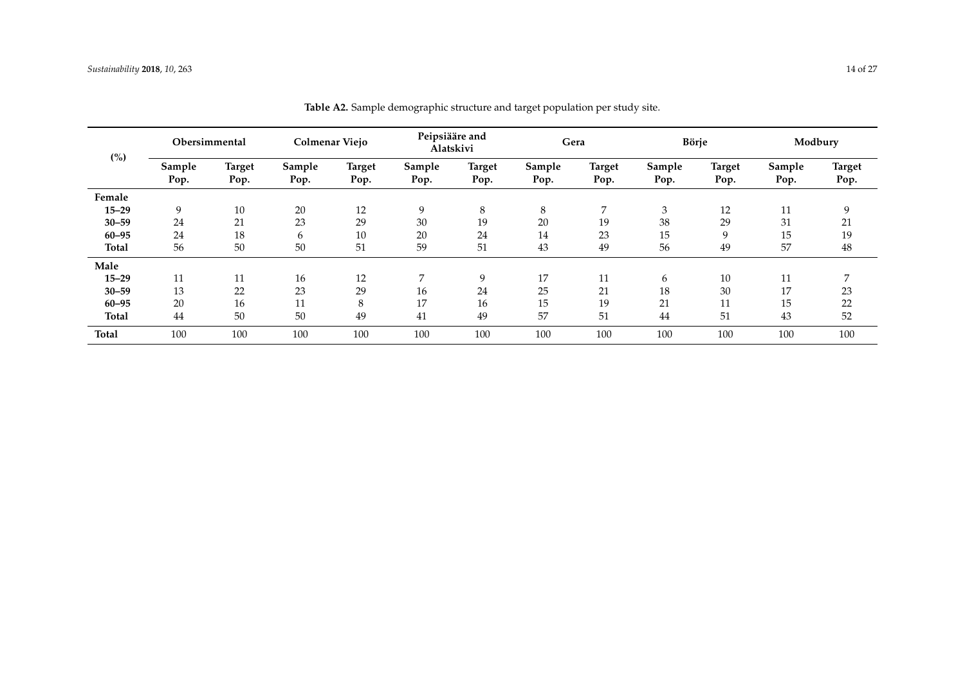<span id="page-13-0"></span>

| (%)          | Obersimmental  |                       | <b>Colmenar Viejo</b> |                       | Peipsiääre and<br>Alatskivi |                       | Gera           |                       | Börje          |                       | Modbury        |                       |
|--------------|----------------|-----------------------|-----------------------|-----------------------|-----------------------------|-----------------------|----------------|-----------------------|----------------|-----------------------|----------------|-----------------------|
|              | Sample<br>Pop. | <b>Target</b><br>Pop. | Sample<br>Pop.        | <b>Target</b><br>Pop. | Sample<br>Pop.              | <b>Target</b><br>Pop. | Sample<br>Pop. | <b>Target</b><br>Pop. | Sample<br>Pop. | <b>Target</b><br>Pop. | Sample<br>Pop. | <b>Target</b><br>Pop. |
| Female       |                |                       |                       |                       |                             |                       |                |                       |                |                       |                |                       |
| $15 - 29$    | 9              | 10                    | 20                    | 12                    | 9                           | 8                     | 8              | 7                     | 3              | 12                    | 11             | 9                     |
| $30 - 59$    | 24             | 21                    | 23                    | 29                    | 30                          | 19                    | 20             | 19                    | 38             | 29                    | 31             | 21                    |
| 60-95        | 24             | 18                    | $\mathbf{6}$          | 10                    | 20                          | 24                    | 14             | 23                    | 15             | 9                     | 15             | 19                    |
| Total        | 56             | 50                    | 50                    | 51                    | 59                          | 51                    | 43             | 49                    | 56             | 49                    | 57             | $\rm 48$              |
| Male         |                |                       |                       |                       |                             |                       |                |                       |                |                       |                |                       |
| $15 - 29$    | 11             | 11                    | 16                    | 12                    | $\overline{ }$              | 9                     | 17             | 11                    | 6              | 10                    | 11             | 7                     |
| $30 - 59$    | 13             | 22                    | 23                    | 29                    | 16                          | 24                    | 25             | 21                    | 18             | 30                    | 17             | 23                    |
| 60-95        | 20             | 16                    | 11                    | 8                     | 17                          | 16                    | 15             | 19                    | 21             | 11                    | 15             | 22                    |
| Total        | 44             | 50                    | 50                    | 49                    | 41                          | 49                    | 57             | 51                    | 44             | 51                    | 43             | 52                    |
| <b>Total</b> | 100            | 100                   | 100                   | 100                   | 100                         | 100                   | 100            | 100                   | 100            | 100                   | 100            | 100                   |

**Table A2.** Sample demographic structure and target population per study site.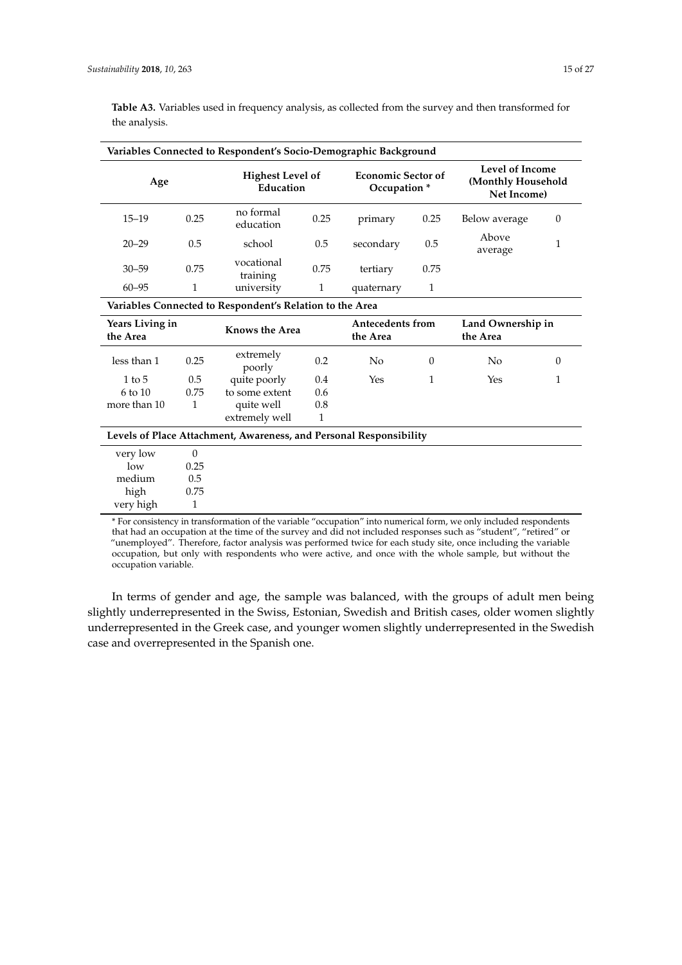| Variables Connected to Respondent's Socio-Demographic Background |              |                                                                    |                                           |                              |                                                             |                               |          |  |  |
|------------------------------------------------------------------|--------------|--------------------------------------------------------------------|-------------------------------------------|------------------------------|-------------------------------------------------------------|-------------------------------|----------|--|--|
| Age                                                              |              | <b>Highest Level of</b><br>Education                               | <b>Economic Sector of</b><br>Occupation * |                              | <b>Level of Income</b><br>(Monthly Household<br>Net Income) |                               |          |  |  |
| $15 - 19$                                                        | 0.25         | no formal<br>education                                             | 0.25                                      | primary                      | 0.25                                                        | Below average                 | $\theta$ |  |  |
| $20 - 29$                                                        | 0.5          | school                                                             | 0.5                                       | secondary                    | 0.5                                                         | Above<br>average              | 1        |  |  |
| $30 - 59$                                                        | 0.75         | vocational<br>training                                             | 0.75                                      | tertiary                     | 0.75                                                        |                               |          |  |  |
| $60 - 95$                                                        | $\mathbf{1}$ | university                                                         | $\mathbf{1}$                              | quaternary                   | 1                                                           |                               |          |  |  |
| Variables Connected to Respondent's Relation to the Area         |              |                                                                    |                                           |                              |                                                             |                               |          |  |  |
| Years Living in<br>the Area                                      |              | <b>Knows the Area</b>                                              |                                           | Antecedents from<br>the Area |                                                             | Land Ownership in<br>the Area |          |  |  |
| less than 1                                                      | 0.25         | extremely<br>poorly                                                | 0.2                                       | No                           | $\Omega$                                                    | No                            | $\Omega$ |  |  |
| $1$ to 5                                                         | 0.5          | quite poorly                                                       | 0.4                                       | Yes                          | 1                                                           | Yes                           | 1        |  |  |
| 6 to 10                                                          | 0.75         | to some extent                                                     | 0.6                                       |                              |                                                             |                               |          |  |  |
| more than 10                                                     | 1            | quite well                                                         | 0.8                                       |                              |                                                             |                               |          |  |  |
|                                                                  |              |                                                                    |                                           |                              |                                                             |                               |          |  |  |
|                                                                  |              | extremely well                                                     | 1                                         |                              |                                                             |                               |          |  |  |
|                                                                  |              | Levels of Place Attachment, Awareness, and Personal Responsibility |                                           |                              |                                                             |                               |          |  |  |
| very low                                                         | $\theta$     |                                                                    |                                           |                              |                                                             |                               |          |  |  |
| low                                                              | 0.25         |                                                                    |                                           |                              |                                                             |                               |          |  |  |
| medium                                                           | 0.5          |                                                                    |                                           |                              |                                                             |                               |          |  |  |
| high                                                             | 0.75         |                                                                    |                                           |                              |                                                             |                               |          |  |  |

<span id="page-14-0"></span>**Table A3.** Variables used in frequency analysis, as collected from the survey and then transformed for the analysis.

\* For consistency in transformation of the variable "occupation" into numerical form, we only included respondents that had an occupation at the time of the survey and did not included responses such as "student", "retired" or "unemployed". Therefore, factor analysis was performed twice for each study site, once including the variable occupation, but only with respondents who were active, and once with the whole sample, but without the occupation variable.

In terms of gender and age, the sample was balanced, with the groups of adult men being slightly underrepresented in the Swiss, Estonian, Swedish and British cases, older women slightly underrepresented in the Greek case, and younger women slightly underrepresented in the Swedish case and overrepresented in the Spanish one.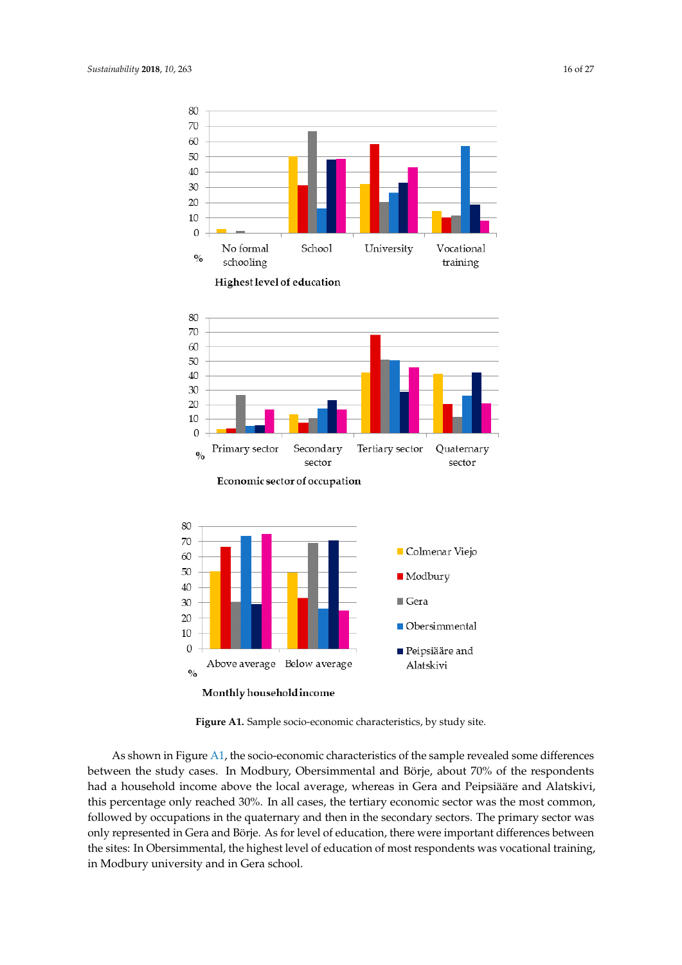<span id="page-15-0"></span>







**Figure A1.** Sample socio‐economic characteristics, by study site. **Figure A1.** Sample socio-economic characteristics, by study site.

As shown in Fig[ure](#page-15-0) A1, the socio-economic characteristics of the sample revealed some differences between the study cases. In Modbury, Obersimmental and Börje, about 70% of the respondents had a household income above the local average, whereas in Gera and Peipsiääre and Alatskivi, this percentage only reached 30%. In all cases, the tertiary economic sector was the most common, followed by occupations in the quaternary and then in the secondary sectors. The primary sector was only represented in Gera and Börje. As for level of education, there were important differences between only represented in Gera and Börje. As for level of education, there were important differences between<br>the sites: In Obersimmental, the highest level of education of most respondents was vocational training, in Modbury university and in Gera school.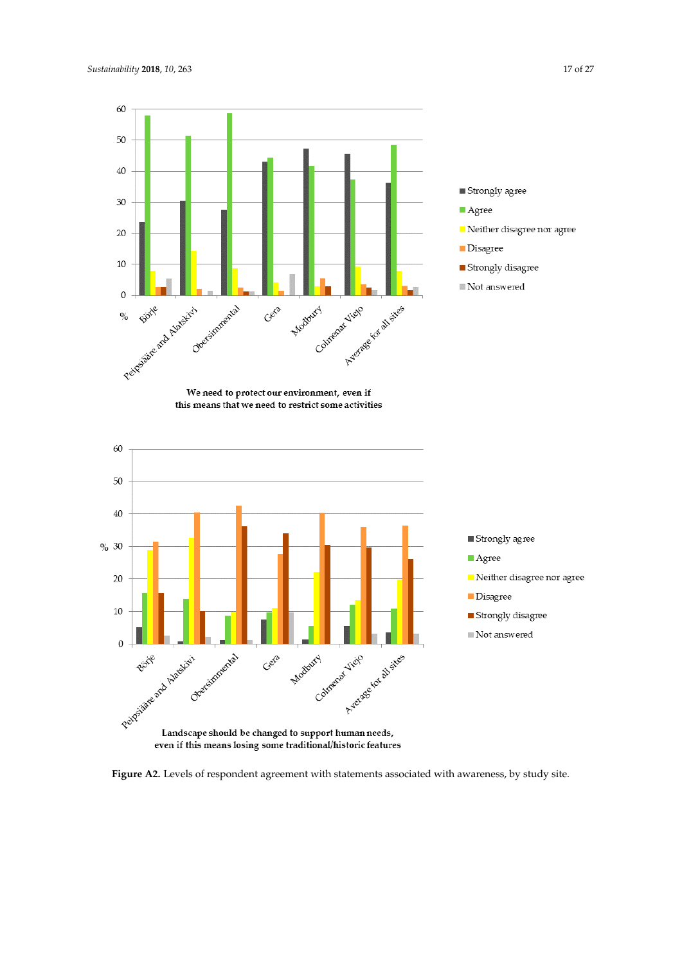<span id="page-16-0"></span>

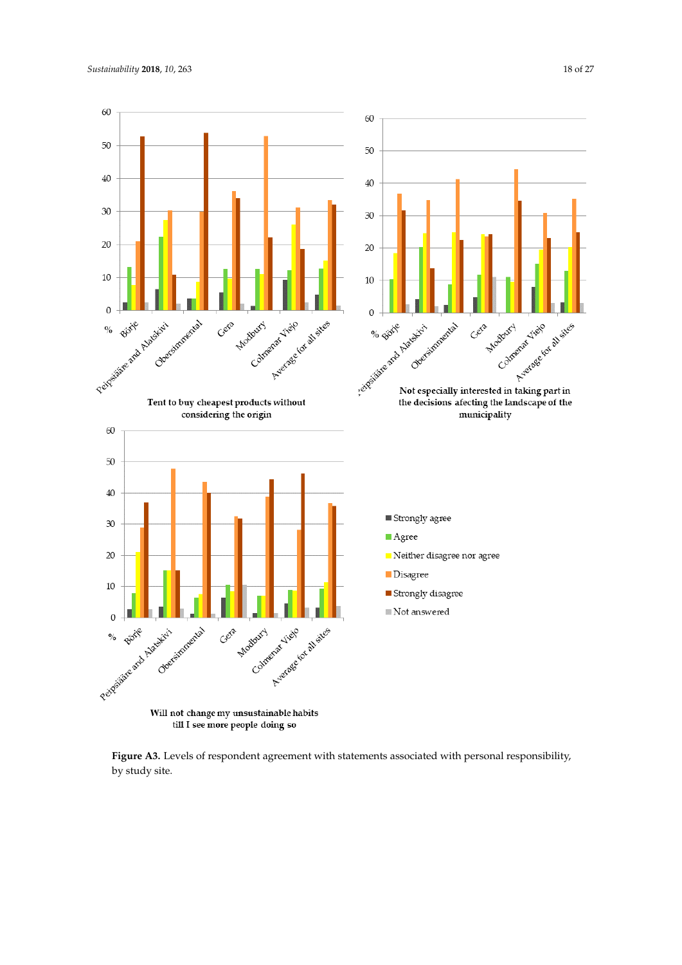

<span id="page-17-0"></span>

till I see more people doing so

**Figure A3.** Levels of respondent agreement with statements associated with personal responsibility, **Figure A3.** Levels of respondent agreement with statements associated with personal responsibility, by study site. by study site.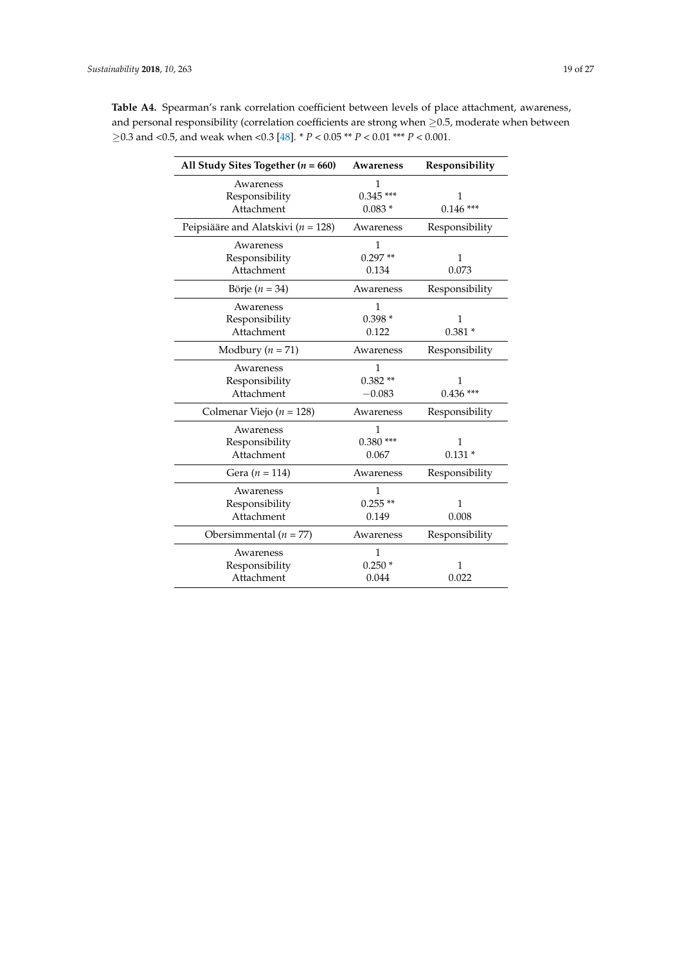| All Study Sites Together ( $n = 660$ ) | Awareness   | Responsibility |
|----------------------------------------|-------------|----------------|
| Awareness                              |             |                |
| Responsibility                         | $0.345***$  |                |
| Attachment                             | $0.083*$    | $0.146$ ***    |
| Peipsiääre and Alatskivi ( $n = 128$ ) | Awareness   | Responsibility |
| Awareness                              | 1           |                |
| Responsibility                         | $0.297**$   | 1              |
| Attachment                             | 0.134       | 0.073          |
| Börje ( $n = 34$ )                     | Awareness   | Responsibility |
| Awareness                              | 1           |                |
| Responsibility                         | $0.398*$    | 1              |
| Attachment                             | 0.122       | $0.381*$       |
| Modbury ( $n = 71$ )                   | Awareness   | Responsibility |
| Awareness                              | 1           |                |
| Responsibility                         | $0.382**$   | 1              |
| Attachment                             | $-0.083$    | $0.436$ ***    |
| Colmenar Viejo ( $n = 128$ )           | Awareness   | Responsibility |
| Awareness                              | 1           |                |
| Responsibility                         | $0.380$ *** | 1              |
| Attachment                             | 0.067       | $0.131*$       |
| Gera ( $n = 114$ )                     | Awareness   | Responsibility |
| Awareness                              | 1           |                |
| Responsibility                         | $0.255**$   | 1              |
| Attachment                             | 0.149       | 0.008          |
| Obersimmental ( $n = 77$ )             | Awareness   | Responsibility |
| Awareness                              | 1           |                |
| Responsibility                         | $0.250*$    | 1              |
| Attachment                             | 0.044       | 0.022          |

<span id="page-18-0"></span>**Table A4.** Spearman's rank correlation coefficient between levels of place attachment, awareness, and personal responsibility (correlation coefficients are strong when ≥0.5, moderate when between ≥0.3 and <0.5, and weak when <0.3 [\[48\]](#page-26-0). \* *P* < 0.05 \*\* *P* < 0.01 \*\*\* *P* < 0.001.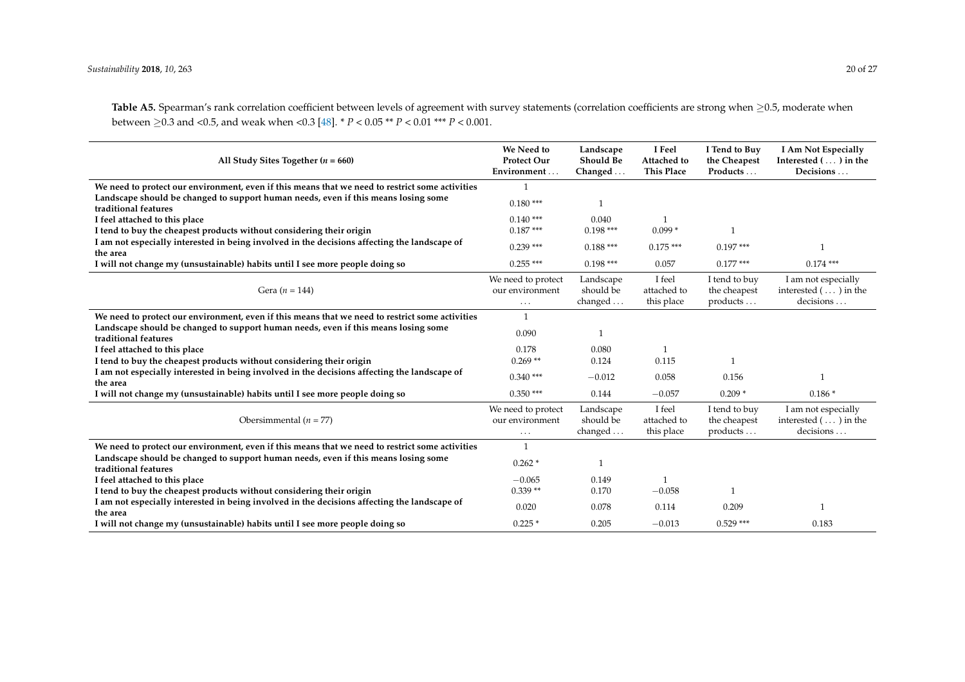**Table A5.** Spearman's rank correlation coefficient between levels of agreement with survey statements (correlation coefficients are strong when ≥0.5, moderate when between ≥0.3 and <0.5, and weak when <0.3 [\[48\]](#page-26-16). \* *P* < 0.05 \*\* *P* < 0.01 \*\*\* *P* < 0.001.

| All Study Sites Together ( $n = 660$ )                                                                                                                                                                        | We Need to<br><b>Protect Our</b><br>Environment   | Landscape<br>Should Be<br>Changed | I Feel<br>Attached to<br><b>This Place</b> | I Tend to Buy<br>the Cheapest<br>Products | I Am Not Especially<br>Interested $(\dots)$ in the<br>Decisions  |
|---------------------------------------------------------------------------------------------------------------------------------------------------------------------------------------------------------------|---------------------------------------------------|-----------------------------------|--------------------------------------------|-------------------------------------------|------------------------------------------------------------------|
| We need to protect our environment, even if this means that we need to restrict some activities<br>Landscape should be changed to support human needs, even if this means losing some<br>traditional features | $0.180***$                                        | -1                                |                                            |                                           |                                                                  |
| I feel attached to this place<br>I tend to buy the cheapest products without considering their origin                                                                                                         | $0.140$ ***<br>$0.187***$                         | 0.040<br>$0.198***$               | $0.099*$                                   |                                           |                                                                  |
| I am not especially interested in being involved in the decisions affecting the landscape of<br>the area                                                                                                      | $0.239***$                                        | $0.188***$                        | $0.175$ ***                                | $0.197***$                                | $\mathbf{1}$                                                     |
| I will not change my (unsustainable) habits until I see more people doing so                                                                                                                                  | $0.255***$                                        | $0.198***$                        | 0.057                                      | $0.177***$                                | $0.174$ ***                                                      |
| Gera $(n = 144)$                                                                                                                                                                                              | We need to protect<br>our environment<br>$\ldots$ | Landscape<br>should be<br>changed | I feel<br>attached to<br>this place        | I tend to buy<br>the cheapest<br>products | I am not especially<br>interested $(\ldots)$ in the<br>decisions |
| We need to protect our environment, even if this means that we need to restrict some activities<br>Landscape should be changed to support human needs, even if this means losing some<br>traditional features | 1<br>0.090                                        | $\mathbf{1}$                      |                                            |                                           |                                                                  |
| I feel attached to this place<br>I tend to buy the cheapest products without considering their origin                                                                                                         | 0.178<br>$0.269**$                                | 0.080<br>0.124                    | -1<br>0.115                                |                                           |                                                                  |
| I am not especially interested in being involved in the decisions affecting the landscape of<br>the area                                                                                                      | $0.340***$                                        | $-0.012$                          | 0.058                                      | 0.156                                     | $\mathbf{1}$                                                     |
| I will not change my (unsustainable) habits until I see more people doing so                                                                                                                                  | $0.350$ ***                                       | 0.144                             | $-0.057$                                   | $0.209*$                                  | $0.186*$                                                         |
| Obersimmental ( $n = 77$ )                                                                                                                                                                                    | We need to protect<br>our environment<br>$\ldots$ | Landscape<br>should be<br>changed | I feel<br>attached to<br>this place        | I tend to buy<br>the cheapest<br>products | I am not especially<br>interested $(\ldots)$ in the<br>decisions |
| We need to protect our environment, even if this means that we need to restrict some activities                                                                                                               | $\mathbf{1}$                                      |                                   |                                            |                                           |                                                                  |
| Landscape should be changed to support human needs, even if this means losing some<br>traditional features                                                                                                    | $0.262*$                                          | -1                                |                                            |                                           |                                                                  |
| I feel attached to this place                                                                                                                                                                                 | $-0.065$                                          | 0.149                             |                                            |                                           |                                                                  |
| I tend to buy the cheapest products without considering their origin<br>I am not especially interested in being involved in the decisions affecting the landscape of                                          | $0.339**$                                         | 0.170                             | $-0.058$                                   |                                           |                                                                  |
| the area                                                                                                                                                                                                      | 0.020                                             | 0.078                             | 0.114                                      | 0.209                                     | 1                                                                |
| I will not change my (unsustainable) habits until I see more people doing so                                                                                                                                  | $0.225*$                                          | 0.205                             | $-0.013$                                   | $0.529$ ***                               | 0.183                                                            |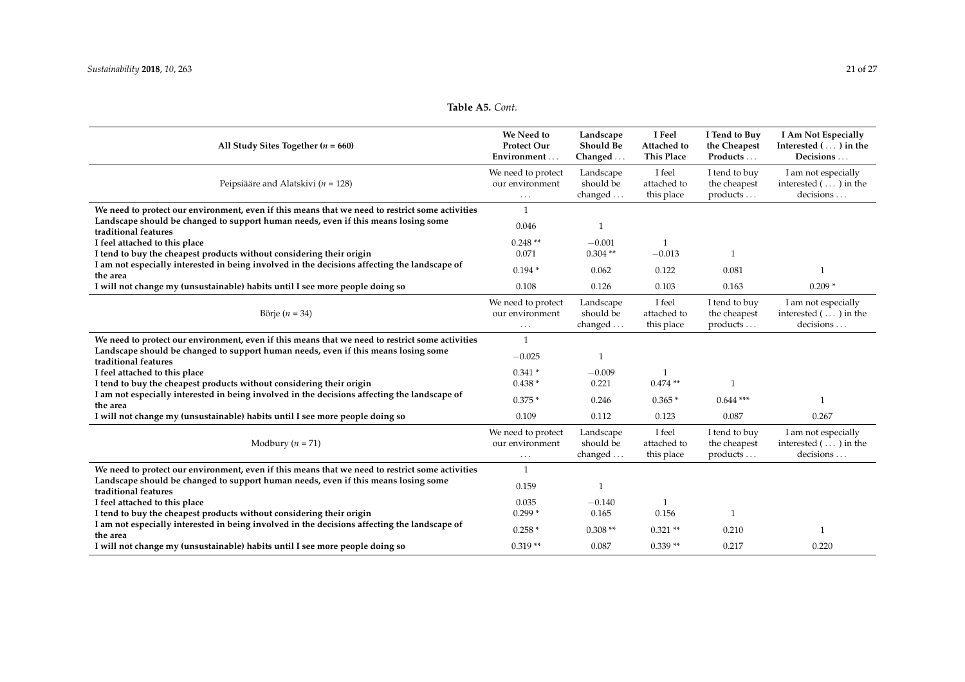| All Study Sites Together ( $n = 660$ )                                                                                                                                                                        | We Need to<br><b>Protect Our</b><br>Environment   | Landscape<br>Should Be<br>Changed | I Feel<br>Attached to<br><b>This Place</b> | I Tend to Buy<br>the Cheapest<br>Products | I Am Not Especially<br>Interested $(\,\dots\,)$ in the<br>Decisions |
|---------------------------------------------------------------------------------------------------------------------------------------------------------------------------------------------------------------|---------------------------------------------------|-----------------------------------|--------------------------------------------|-------------------------------------------|---------------------------------------------------------------------|
| Peipsiääre and Alatskivi ( $n = 128$ )                                                                                                                                                                        | We need to protect<br>our environment<br>$\cdots$ | Landscape<br>should be<br>changed | I feel<br>attached to<br>this place        | I tend to buy<br>the cheapest<br>products | I am not especially<br>interested $(\ldots)$ in the<br>decisions    |
| We need to protect our environment, even if this means that we need to restrict some activities<br>Landscape should be changed to support human needs, even if this means losing some<br>traditional features | $\mathbf{1}$<br>0.046                             | $\mathbf{1}$                      |                                            |                                           |                                                                     |
| I feel attached to this place<br>I tend to buy the cheapest products without considering their origin                                                                                                         | $0.248**$<br>0.071                                | $-0.001$<br>$0.304$ **            | -1<br>$-0.013$                             | $\mathbf{1}$                              |                                                                     |
| I am not especially interested in being involved in the decisions affecting the landscape of<br>the area                                                                                                      | $0.194*$                                          | 0.062                             | 0.122                                      | 0.081                                     | $\mathbf{1}$                                                        |
| I will not change my (unsustainable) habits until I see more people doing so                                                                                                                                  | 0.108                                             | 0.126                             | 0.103                                      | 0.163                                     | $0.209*$                                                            |
| Börje ( $n = 34$ )                                                                                                                                                                                            | We need to protect<br>our environment<br>$\cdots$ | Landscape<br>should be<br>changed | I feel<br>attached to<br>this place        | I tend to buy<br>the cheapest<br>products | I am not especially<br>interested $(\ldots)$ in the<br>decisions    |
| We need to protect our environment, even if this means that we need to restrict some activities                                                                                                               | -1                                                |                                   |                                            |                                           |                                                                     |
| Landscape should be changed to support human needs, even if this means losing some<br>traditional features                                                                                                    | $-0.025$                                          | $\mathbf{1}$                      |                                            |                                           |                                                                     |
| I feel attached to this place                                                                                                                                                                                 | $0.341*$                                          | $-0.009$                          | -1                                         |                                           |                                                                     |
| I tend to buy the cheapest products without considering their origin                                                                                                                                          | $0.438*$                                          | 0.221                             | $0.474**$                                  | $\mathbf{1}$                              |                                                                     |
| I am not especially interested in being involved in the decisions affecting the landscape of<br>the area                                                                                                      | $0.375*$                                          | 0.246                             | $0.365*$                                   | $0.644$ ***                               | 1                                                                   |
| I will not change my (unsustainable) habits until I see more people doing so                                                                                                                                  | 0.109                                             | 0.112                             | 0.123                                      | 0.087                                     | 0.267                                                               |
| Modbury ( $n = 71$ )                                                                                                                                                                                          | We need to protect<br>our environment<br>$\cdots$ | Landscape<br>should be<br>changed | I feel<br>attached to<br>this place        | I tend to buy<br>the cheapest<br>products | I am not especially<br>interested $(\ldots)$ in the<br>decisions    |
| We need to protect our environment, even if this means that we need to restrict some activities                                                                                                               | $\mathbf{1}$                                      |                                   |                                            |                                           |                                                                     |
| Landscape should be changed to support human needs, even if this means losing some<br>traditional features                                                                                                    | 0.159                                             | $\mathbf{1}$                      |                                            |                                           |                                                                     |
| I feel attached to this place                                                                                                                                                                                 | 0.035                                             | $-0.140$                          |                                            |                                           |                                                                     |
| I tend to buy the cheapest products without considering their origin<br>I am not especially interested in being involved in the decisions affecting the landscape of                                          | $0.299*$                                          | 0.165                             | 0.156                                      | $\mathbf{1}$                              |                                                                     |
| the area                                                                                                                                                                                                      | $0.258*$                                          | $0.308**$                         | $0.321**$                                  | 0.210                                     | 1                                                                   |
| I will not change my (unsustainable) habits until I see more people doing so                                                                                                                                  | $0.319**$                                         | 0.087                             | $0.339**$                                  | 0.217                                     | 0.220                                                               |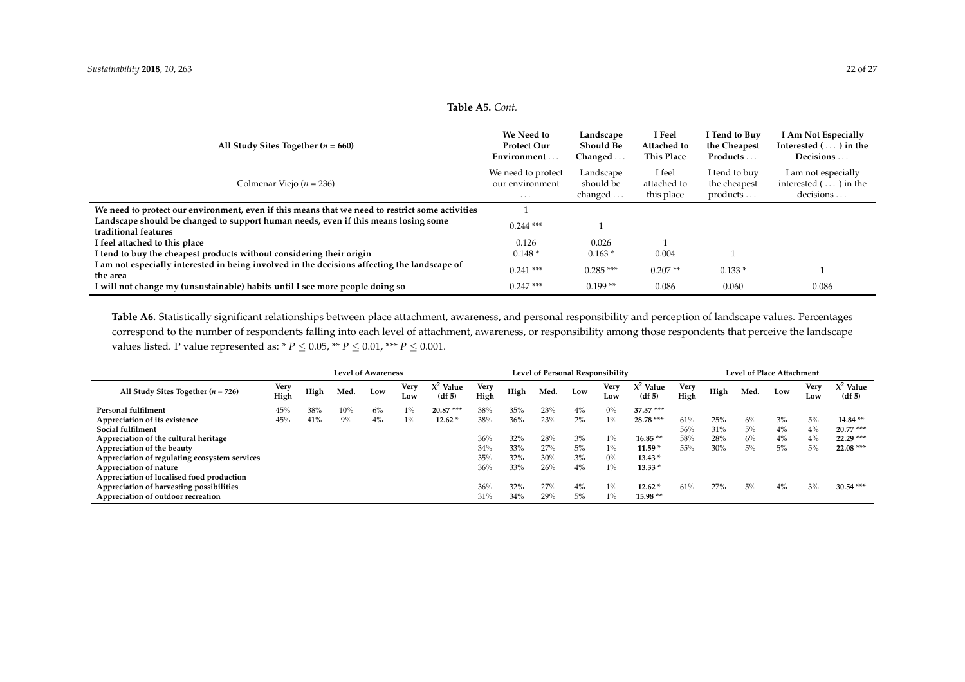| All Study Sites Together $(n = 660)$                                                                       | We Need to<br><b>Protect Our</b><br>Environment   | Landscape<br><b>Should Be</b><br>Changed  | I Feel<br>Attached to<br><b>This Place</b> | I Tend to Buy<br>the Cheapest<br>Products         | I Am Not Especially<br>Interested $( \ldots )$ in the<br>Decisions |
|------------------------------------------------------------------------------------------------------------|---------------------------------------------------|-------------------------------------------|--------------------------------------------|---------------------------------------------------|--------------------------------------------------------------------|
| Colmenar Viejo ( $n = 236$ )                                                                               | We need to protect<br>our environment<br>$\cdots$ | Landscape<br>should be<br>changed $\dots$ | I feel<br>attached to<br>this place        | I tend to buy<br>the cheapest<br>$products \dots$ | I am not especially<br>interested $(\ldots)$ in the<br>decisions   |
| We need to protect our environment, even if this means that we need to restrict some activities            |                                                   |                                           |                                            |                                                   |                                                                    |
| Landscape should be changed to support human needs, even if this means losing some<br>traditional features | $0.244$ ***                                       |                                           |                                            |                                                   |                                                                    |
| I feel attached to this place                                                                              | 0.126                                             | 0.026                                     |                                            |                                                   |                                                                    |
| I tend to buy the cheapest products without considering their origin                                       | $0.148*$                                          | $0.163*$                                  | 0.004                                      |                                                   |                                                                    |
| I am not especially interested in being involved in the decisions affecting the landscape of<br>the area   | $0.241$ ***                                       | $0.285***$                                | $0.207**$                                  | $0.133*$                                          |                                                                    |
| I will not change my (unsustainable) habits until I see more people doing so                               | $0.247***$                                        | $0.199**$                                 | 0.086                                      | 0.060                                             | 0.086                                                              |

**Table A6.** Statistically significant relationships between place attachment, awareness, and personal responsibility and perception of landscape values. Percentages correspond to the number of respondents falling into each level of attachment, awareness, or responsibility among those respondents that perceive the landscape values listed. P value represented as: \*  $P \leq 0.05$ , \*\*  $P \leq 0.01$ , \*\*\*  $P \leq 0.001$ .

<span id="page-21-1"></span><span id="page-21-0"></span>

|                                               | <b>Level of Awareness</b> |      |      |     |             | Level of Personal Responsibility  |                     |      |      |       | <b>Level of Place Attachment</b> |                                   |                     |      |      |     |             |                                   |
|-----------------------------------------------|---------------------------|------|------|-----|-------------|-----------------------------------|---------------------|------|------|-------|----------------------------------|-----------------------------------|---------------------|------|------|-----|-------------|-----------------------------------|
| All Study Sites Together ( $n = 726$ )        | Very<br>High              | High | Med. | Low | Verv<br>Low | $X^2$ Value<br>(df <sub>5</sub> ) | <b>Very</b><br>High | High | Med. | Low   | Verv<br>Low                      | $X^2$ Value<br>(df <sub>5</sub> ) | <b>Very</b><br>High | High | Med. | Low | Verv<br>Low | $X^2$ Value<br>(df <sub>5</sub> ) |
| Personal fulfilment                           | 45%                       | 38%  | 10%  | 6%  | $1\%$       | $20.87***$                        | 38%                 | 35%  | 23%  | $4\%$ | $0\%$                            | $37.37***$                        |                     |      |      |     |             |                                   |
| Appreciation of its existence                 | 45%                       | 41%  | 9%   | 4%  | $1\%$       | $12.62*$                          | 38%                 | 36%  | 23%  | 2%    | $1\%$                            | 28.78 ***                         | 61%                 | 25%  | 6%   | 3%  | 5%          | 14.84 **                          |
| Social fulfilment                             |                           |      |      |     |             |                                   |                     |      |      |       |                                  |                                   | 56%                 | 31%  | 5%   | 4%  | 4%          | $20.77$ ***                       |
| Appreciation of the cultural heritage         |                           |      |      |     |             |                                   | 36%                 | 32%  | 28%  | 3%    | $1\%$                            | $16.85**$                         | 58%                 | 28%  | 6%   | 4%  | 4%          | $22.29$ ***                       |
| Appreciation of the beauty                    |                           |      |      |     |             |                                   | 34%                 | 33%  | 27%  | 5%    | $1\%$                            | 11.59 *                           | 55%                 | 30%  | 5%   | 5%  | 5%          | $22.08$ ***                       |
| Appreciation of regulating ecosystem services |                           |      |      |     |             |                                   | 35%                 | 32%  | 30%  | 3%    | $0\%$                            | $13.43*$                          |                     |      |      |     |             |                                   |
| Appreciation of nature                        |                           |      |      |     |             |                                   | 36%                 | 33%  | 26%  | $4\%$ | $1\%$                            | $13.33*$                          |                     |      |      |     |             |                                   |
| Appreciation of localised food production     |                           |      |      |     |             |                                   |                     |      |      |       |                                  |                                   |                     |      |      |     |             |                                   |
| Appreciation of harvesting possibilities      |                           |      |      |     |             |                                   | 36%                 | 32%  | 27%  | 4%    | $1\%$                            | $12.62*$                          | 61%                 | 27%  | 5%   | 4%  | 3%          | $30.54$ ***                       |
| Appreciation of outdoor recreation            |                           |      |      |     |             |                                   | 31%                 | 34%  | 29%  | 5%    | $1\%$                            | $15.98**$                         |                     |      |      |     |             |                                   |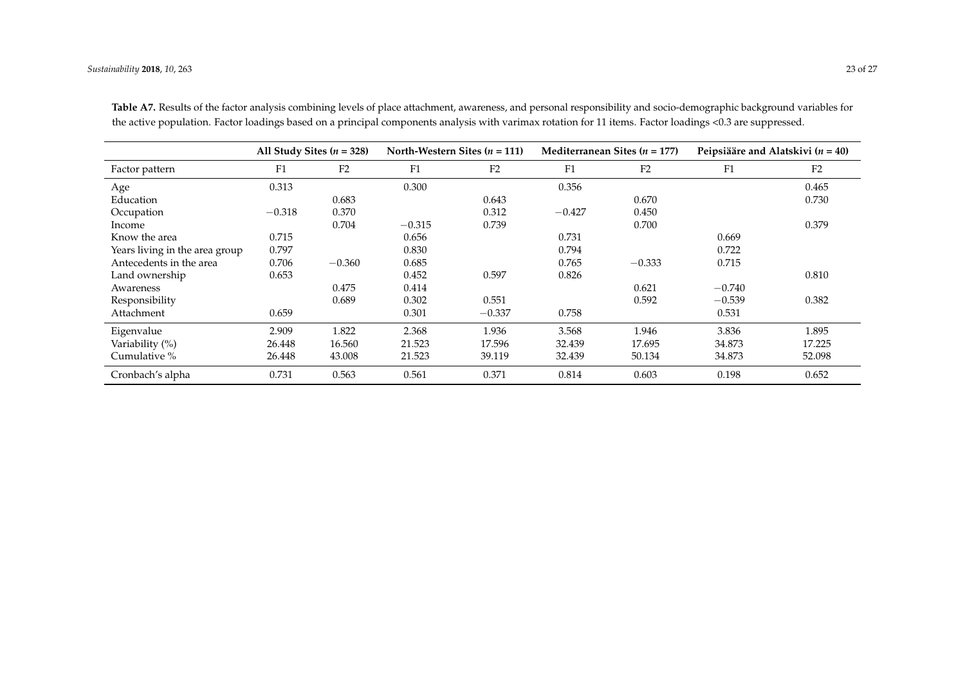<span id="page-22-0"></span>

|                                | All Study Sites $(n = 328)$ |                |          | North-Western Sites $(n = 111)$ |          | Mediterranean Sites ( $n = 177$ ) | Peipsiääre and Alatskivi ( $n = 40$ ) |                |  |
|--------------------------------|-----------------------------|----------------|----------|---------------------------------|----------|-----------------------------------|---------------------------------------|----------------|--|
| Factor pattern                 | F1                          | F <sub>2</sub> | F1       | F <sub>2</sub>                  | F1       | F <sub>2</sub>                    | F1                                    | F <sub>2</sub> |  |
| Age                            | 0.313                       |                | 0.300    |                                 | 0.356    |                                   |                                       | 0.465          |  |
| Education                      |                             | 0.683          |          | 0.643                           |          | 0.670                             |                                       | 0.730          |  |
| Occupation                     | $-0.318$                    | 0.370          |          | 0.312                           | $-0.427$ | 0.450                             |                                       |                |  |
| Income                         |                             | 0.704          | $-0.315$ | 0.739                           |          | 0.700                             |                                       | 0.379          |  |
| Know the area                  | 0.715                       |                | 0.656    |                                 | 0.731    |                                   | 0.669                                 |                |  |
| Years living in the area group | 0.797                       |                | 0.830    |                                 | 0.794    |                                   | 0.722                                 |                |  |
| Antecedents in the area        | 0.706                       | $-0.360$       | 0.685    |                                 | 0.765    | $-0.333$                          | 0.715                                 |                |  |
| Land ownership                 | 0.653                       |                | 0.452    | 0.597                           | 0.826    |                                   |                                       | 0.810          |  |
| Awareness                      |                             | 0.475          | 0.414    |                                 |          | 0.621                             | $-0.740$                              |                |  |
| Responsibility                 |                             | 0.689          | 0.302    | 0.551                           |          | 0.592                             | $-0.539$                              | 0.382          |  |
| Attachment                     | 0.659                       |                | 0.301    | $-0.337$                        | 0.758    |                                   | 0.531                                 |                |  |
| Eigenvalue                     | 2.909                       | 1.822          | 2.368    | 1.936                           | 3.568    | 1.946                             | 3.836                                 | 1.895          |  |
| Variability (%)                | 26.448                      | 16.560         | 21.523   | 17.596                          | 32.439   | 17.695                            | 34.873                                | 17.225         |  |
| Cumulative %                   | 26.448                      | 43.008         | 21.523   | 39.119                          | 32.439   | 50.134                            | 34.873                                | 52.098         |  |
| Cronbach's alpha               | 0.731                       | 0.563          | 0.561    | 0.371                           | 0.814    | 0.603                             | 0.198                                 | 0.652          |  |

Table A7. Results of the factor analysis combining levels of place attachment, awareness, and personal responsibility and socio-demographic background variables for the active population. Factor loadings based on a principal components analysis with varimax rotation for 11 items. Factor loadings <0.3 are suppressed.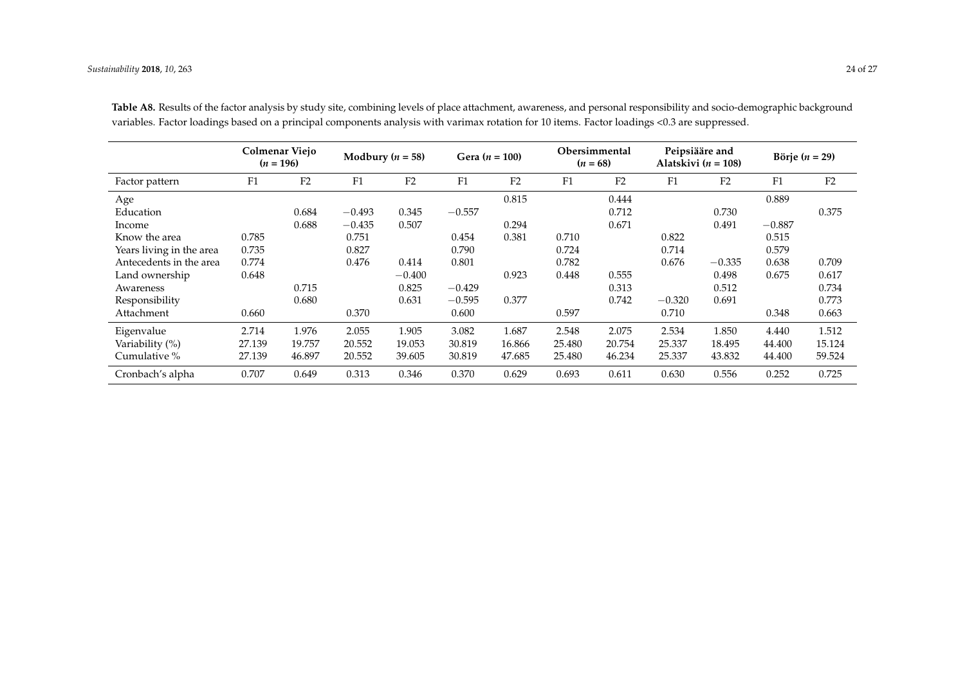<span id="page-23-0"></span>

|                          | Colmenar Viejo<br>$(n = 196)$ |                | Modbury ( $n = 58$ ) |                | Gera $(n = 100)$ |        |        | Obersimmental<br>$(n = 68)$ | Peipsiääre and<br>Alatskivi ( $n = 108$ ) |                | Börje $(n = 29)$ |        |
|--------------------------|-------------------------------|----------------|----------------------|----------------|------------------|--------|--------|-----------------------------|-------------------------------------------|----------------|------------------|--------|
| Factor pattern           | F1                            | F <sub>2</sub> | F1                   | F <sub>2</sub> | F1               | F2     | F1     | F <sub>2</sub>              | F1                                        | F <sub>2</sub> | F1               | F2     |
| Age                      |                               |                |                      |                |                  | 0.815  |        | 0.444                       |                                           |                | 0.889            |        |
| Education                |                               | 0.684          | $-0.493$             | 0.345          | $-0.557$         |        |        | 0.712                       |                                           | 0.730          |                  | 0.375  |
| Income                   |                               | 0.688          | $-0.435$             | 0.507          |                  | 0.294  |        | 0.671                       |                                           | 0.491          | $-0.887$         |        |
| Know the area            | 0.785                         |                | 0.751                |                | 0.454            | 0.381  | 0.710  |                             | 0.822                                     |                | 0.515            |        |
| Years living in the area | 0.735                         |                | 0.827                |                | 0.790            |        | 0.724  |                             | 0.714                                     |                | 0.579            |        |
| Antecedents in the area  | 0.774                         |                | 0.476                | 0.414          | 0.801            |        | 0.782  |                             | 0.676                                     | $-0.335$       | 0.638            | 0.709  |
| Land ownership           | 0.648                         |                |                      | $-0.400$       |                  | 0.923  | 0.448  | 0.555                       |                                           | 0.498          | 0.675            | 0.617  |
| Awareness                |                               | 0.715          |                      | 0.825          | $-0.429$         |        |        | 0.313                       |                                           | 0.512          |                  | 0.734  |
| Responsibility           |                               | 0.680          |                      | 0.631          | $-0.595$         | 0.377  |        | 0.742                       | $-0.320$                                  | 0.691          |                  | 0.773  |
| Attachment               | 0.660                         |                | 0.370                |                | 0.600            |        | 0.597  |                             | 0.710                                     |                | 0.348            | 0.663  |
| Eigenvalue               | 2.714                         | 1.976          | 2.055                | 1.905          | 3.082            | 1.687  | 2.548  | 2.075                       | 2.534                                     | 1.850          | 4.440            | 1.512  |
| Variability (%)          | 27.139                        | 19.757         | 20.552               | 19.053         | 30.819           | 16.866 | 25.480 | 20.754                      | 25.337                                    | 18.495         | 44.400           | 15.124 |
| Cumulative %             | 27.139                        | 46.897         | 20.552               | 39.605         | 30.819           | 47.685 | 25.480 | 46.234                      | 25.337                                    | 43.832         | 44.400           | 59.524 |
| Cronbach's alpha         | 0.707                         | 0.649          | 0.313                | 0.346          | 0.370            | 0.629  | 0.693  | 0.611                       | 0.630                                     | 0.556          | 0.252            | 0.725  |

**Table A8.** Results of the factor analysis by study site, combining levels of place attachment, awareness, and personal responsibility and socio-demographic background variables. Factor loadings based on a principal components analysis with varimax rotation for 10 items. Factor loadings <0.3 are suppressed.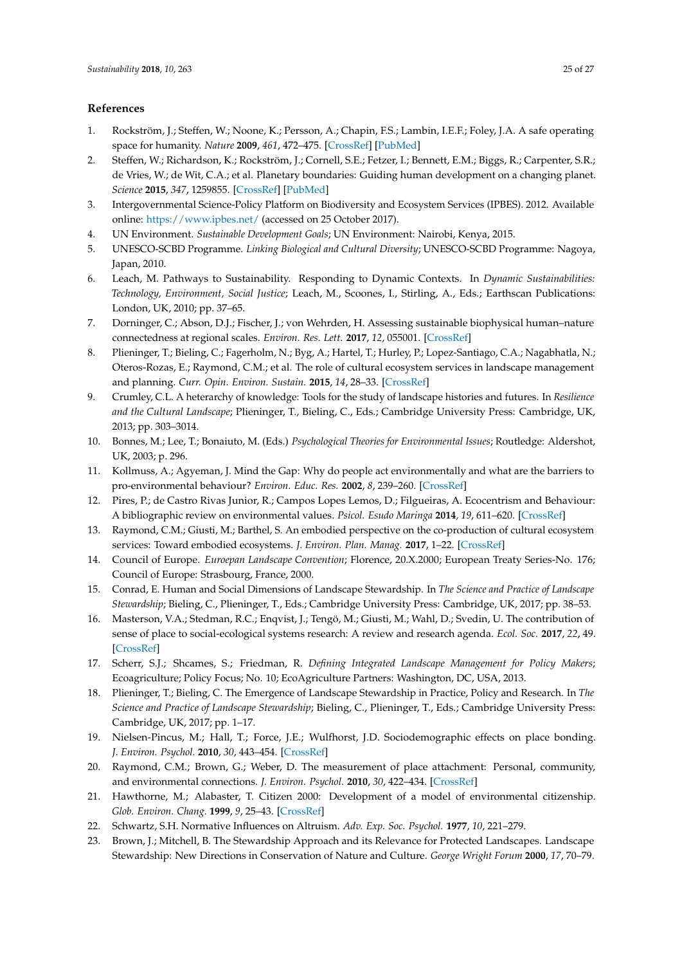## **References**

- <span id="page-24-0"></span>1. Rockström, J.; Steffen, W.; Noone, K.; Persson, A.; Chapin, F.S.; Lambin, I.E.F.; Foley, J.A. A safe operating space for humanity. *Nature* **2009**, *461*, 472–475. [\[CrossRef\]](http://dx.doi.org/10.1038/461472a) [\[PubMed\]](http://www.ncbi.nlm.nih.gov/pubmed/19779433)
- <span id="page-24-1"></span>2. Steffen, W.; Richardson, K.; Rockström, J.; Cornell, S.E.; Fetzer, I.; Bennett, E.M.; Biggs, R.; Carpenter, S.R.; de Vries, W.; de Wit, C.A.; et al. Planetary boundaries: Guiding human development on a changing planet. *Science* **2015**, *347*, 1259855. [\[CrossRef\]](http://dx.doi.org/10.1126/science.1259855) [\[PubMed\]](http://www.ncbi.nlm.nih.gov/pubmed/25592418)
- <span id="page-24-2"></span>3. Intergovernmental Science-Policy Platform on Biodiversity and Ecosystem Services (IPBES). 2012. Available online: <https://www.ipbes.net/> (accessed on 25 October 2017).
- <span id="page-24-3"></span>4. UN Environment. *Sustainable Development Goals*; UN Environment: Nairobi, Kenya, 2015.
- <span id="page-24-4"></span>5. UNESCO-SCBD Programme. *Linking Biological and Cultural Diversity*; UNESCO-SCBD Programme: Nagoya, Japan, 2010.
- <span id="page-24-5"></span>6. Leach, M. Pathways to Sustainability. Responding to Dynamic Contexts. In *Dynamic Sustainabilities: Technology, Environment, Social Justice*; Leach, M., Scoones, I., Stirling, A., Eds.; Earthscan Publications: London, UK, 2010; pp. 37–65.
- <span id="page-24-6"></span>7. Dorninger, C.; Abson, D.J.; Fischer, J.; von Wehrden, H. Assessing sustainable biophysical human–nature connectedness at regional scales. *Environ. Res. Lett.* **2017**, *12*, 055001. [\[CrossRef\]](http://dx.doi.org/10.1088/1748-9326/aa68a5)
- <span id="page-24-7"></span>8. Plieninger, T.; Bieling, C.; Fagerholm, N.; Byg, A.; Hartel, T.; Hurley, P.; Lopez-Santiago, C.A.; Nagabhatla, N.; Oteros-Rozas, E.; Raymond, C.M.; et al. The role of cultural ecosystem services in landscape management and planning. *Curr. Opin. Environ. Sustain.* **2015**, *14*, 28–33. [\[CrossRef\]](http://dx.doi.org/10.1016/j.cosust.2015.02.006)
- <span id="page-24-8"></span>9. Crumley, C.L. A heterarchy of knowledge: Tools for the study of landscape histories and futures. In *Resilience and the Cultural Landscape*; Plieninger, T., Bieling, C., Eds.; Cambridge University Press: Cambridge, UK, 2013; pp. 303–3014.
- <span id="page-24-9"></span>10. Bonnes, M.; Lee, T.; Bonaiuto, M. (Eds.) *Psychological Theories for Environmental Issues*; Routledge: Aldershot, UK, 2003; p. 296.
- <span id="page-24-10"></span>11. Kollmuss, A.; Agyeman, J. Mind the Gap: Why do people act environmentally and what are the barriers to pro-environmental behaviour? *Environ. Educ. Res.* **2002**, *8*, 239–260. [\[CrossRef\]](http://dx.doi.org/10.1080/13504620220145401)
- <span id="page-24-11"></span>12. Pires, P.; de Castro Rivas Junior, R.; Campos Lopes Lemos, D.; Filgueiras, A. Ecocentrism and Behaviour: A bibliographic review on environmental values. *Psicol. Esudo Maringa* **2014**, *19*, 611–620. [\[CrossRef\]](http://dx.doi.org/10.1590/1413-73722201204)
- <span id="page-24-12"></span>13. Raymond, C.M.; Giusti, M.; Barthel, S. An embodied perspective on the co-production of cultural ecosystem services: Toward embodied ecosystems. *J. Environ. Plan. Manag.* **2017**, 1–22. [\[CrossRef\]](http://dx.doi.org/10.1080/09640568.2017.1312300)
- <span id="page-24-13"></span>14. Council of Europe. *Euroepan Landscape Convention*; Florence, 20.X.2000; European Treaty Series-No. 176; Council of Europe: Strasbourg, France, 2000.
- <span id="page-24-14"></span>15. Conrad, E. Human and Social Dimensions of Landscape Stewardship. In *The Science and Practice of Landscape Stewardship*; Bieling, C., Plieninger, T., Eds.; Cambridge University Press: Cambridge, UK, 2017; pp. 38–53.
- <span id="page-24-15"></span>16. Masterson, V.A.; Stedman, R.C.; Enqvist, J.; Tengö, M.; Giusti, M.; Wahl, D.; Svedin, U. The contribution of sense of place to social-ecological systems research: A review and research agenda. *Ecol. Soc.* **2017**, *22*, 49. [\[CrossRef\]](http://dx.doi.org/10.5751/ES-08872-220149)
- <span id="page-24-16"></span>17. Scherr, S.J.; Shcames, S.; Friedman, R. *Defining Integrated Landscape Management for Policy Makers*; Ecoagriculture; Policy Focus; No. 10; EcoAgriculture Partners: Washington, DC, USA, 2013.
- <span id="page-24-17"></span>18. Plieninger, T.; Bieling, C. The Emergence of Landscape Stewardship in Practice, Policy and Research. In *The Science and Practice of Landscape Stewardship*; Bieling, C., Plieninger, T., Eds.; Cambridge University Press: Cambridge, UK, 2017; pp. 1–17.
- <span id="page-24-18"></span>19. Nielsen-Pincus, M.; Hall, T.; Force, J.E.; Wulfhorst, J.D. Sociodemographic effects on place bonding. *J. Environ. Psychol.* **2010**, *30*, 443–454. [\[CrossRef\]](http://dx.doi.org/10.1016/j.jenvp.2010.01.007)
- <span id="page-24-19"></span>20. Raymond, C.M.; Brown, G.; Weber, D. The measurement of place attachment: Personal, community, and environmental connections. *J. Environ. Psychol.* **2010**, *30*, 422–434. [\[CrossRef\]](http://dx.doi.org/10.1016/j.jenvp.2010.08.002)
- <span id="page-24-20"></span>21. Hawthorne, M.; Alabaster, T. Citizen 2000: Development of a model of environmental citizenship. *Glob. Environ. Chang.* **1999**, *9*, 25–43. [\[CrossRef\]](http://dx.doi.org/10.1016/S0959-3780(98)00022-3)
- <span id="page-24-21"></span>22. Schwartz, S.H. Normative Influences on Altruism. *Adv. Exp. Soc. Psychol.* **1977**, *10*, 221–279.
- <span id="page-24-22"></span>23. Brown, J.; Mitchell, B. The Stewardship Approach and its Relevance for Protected Landscapes. Landscape Stewardship: New Directions in Conservation of Nature and Culture. *George Wright Forum* **2000**, *17*, 70–79.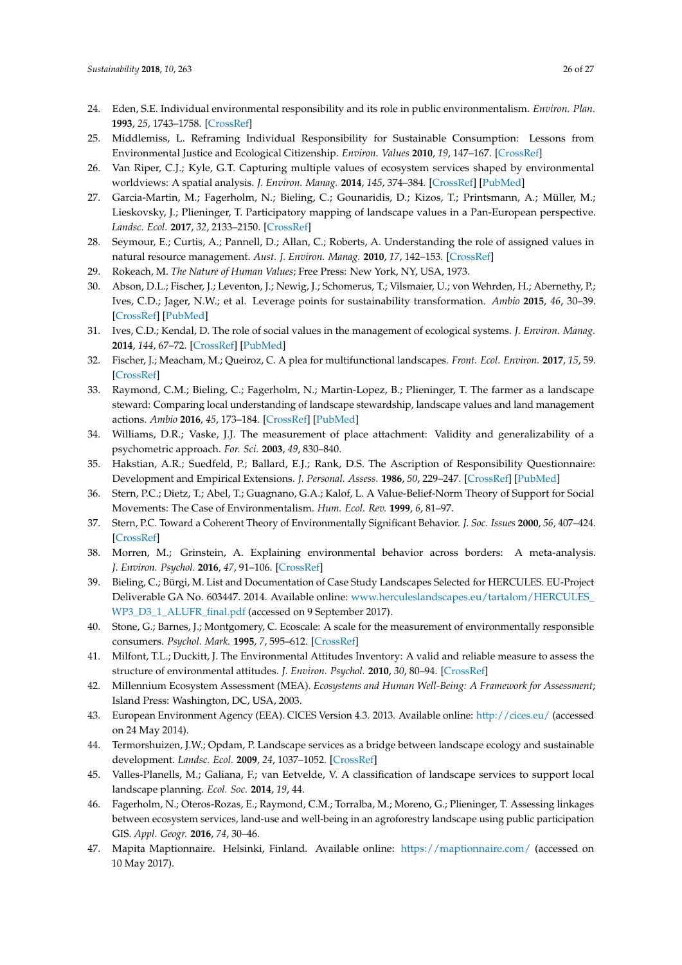- 24. Eden, S.E. Individual environmental responsibility and its role in public environmentalism. *Environ. Plan.* **1993**, *25*, 1743–1758. [\[CrossRef\]](http://dx.doi.org/10.1068/a251743)
- <span id="page-25-0"></span>25. Middlemiss, L. Reframing Individual Responsibility for Sustainable Consumption: Lessons from Environmental Justice and Ecological Citizenship. *Environ. Values* **2010**, *19*, 147–167. [\[CrossRef\]](http://dx.doi.org/10.3197/096327110X12699420220518)
- <span id="page-25-1"></span>26. Van Riper, C.J.; Kyle, G.T. Capturing multiple values of ecosystem services shaped by environmental worldviews: A spatial analysis. *J. Environ. Manag.* **2014**, *145*, 374–384. [\[CrossRef\]](http://dx.doi.org/10.1016/j.jenvman.2014.06.014) [\[PubMed\]](http://www.ncbi.nlm.nih.gov/pubmed/25124790)
- <span id="page-25-2"></span>27. Garcia-Martin, M.; Fagerholm, N.; Bieling, C.; Gounaridis, D.; Kizos, T.; Printsmann, A.; Müller, M.; Lieskovsky, J.; Plieninger, T. Participatory mapping of landscape values in a Pan-European perspective. *Landsc. Ecol.* **2017**, *32*, 2133–2150. [\[CrossRef\]](http://dx.doi.org/10.1007/s10980-017-0531-x)
- <span id="page-25-3"></span>28. Seymour, E.; Curtis, A.; Pannell, D.; Allan, C.; Roberts, A. Understanding the role of assigned values in natural resource management. *Aust. J. Environ. Manag.* **2010**, *17*, 142–153. [\[CrossRef\]](http://dx.doi.org/10.1080/14486563.2010.9725261)
- <span id="page-25-4"></span>29. Rokeach, M. *The Nature of Human Values*; Free Press: New York, NY, USA, 1973.
- <span id="page-25-5"></span>30. Abson, D.L.; Fischer, J.; Leventon, J.; Newig, J.; Schomerus, T.; Vilsmaier, U.; von Wehrden, H.; Abernethy, P.; Ives, C.D.; Jager, N.W.; et al. Leverage points for sustainability transformation. *Ambio* **2015**, *46*, 30–39. [\[CrossRef\]](http://dx.doi.org/10.1007/s13280-016-0800-y) [\[PubMed\]](http://www.ncbi.nlm.nih.gov/pubmed/27344324)
- <span id="page-25-6"></span>31. Ives, C.D.; Kendal, D. The role of social values in the management of ecological systems. *J. Environ. Manag.* **2014**, *144*, 67–72. [\[CrossRef\]](http://dx.doi.org/10.1016/j.jenvman.2014.05.013) [\[PubMed\]](http://www.ncbi.nlm.nih.gov/pubmed/24921963)
- <span id="page-25-7"></span>32. Fischer, J.; Meacham, M.; Queiroz, C. A plea for multifunctional landscapes. *Front. Ecol. Environ.* **2017**, *15*, 59. [\[CrossRef\]](http://dx.doi.org/10.1002/fee.1464)
- <span id="page-25-8"></span>33. Raymond, C.M.; Bieling, C.; Fagerholm, N.; Martin-Lopez, B.; Plieninger, T. The farmer as a landscape steward: Comparing local understanding of landscape stewardship, landscape values and land management actions. *Ambio* **2016**, *45*, 173–184. [\[CrossRef\]](http://dx.doi.org/10.1007/s13280-015-0694-0) [\[PubMed\]](http://www.ncbi.nlm.nih.gov/pubmed/26346276)
- <span id="page-25-9"></span>34. Williams, D.R.; Vaske, J.J. The measurement of place attachment: Validity and generalizability of a psychometric approach. *For. Sci.* **2003**, *49*, 830–840.
- <span id="page-25-10"></span>35. Hakstian, A.R.; Suedfeld, P.; Ballard, E.J.; Rank, D.S. The Ascription of Responsibility Questionnaire: Development and Empirical Extensions. *J. Personal. Assess.* **1986**, *50*, 229–247. [\[CrossRef\]](http://dx.doi.org/10.1207/s15327752jpa5002_10) [\[PubMed\]](http://www.ncbi.nlm.nih.gov/pubmed/16367440)
- <span id="page-25-11"></span>36. Stern, P.C.; Dietz, T.; Abel, T.; Guagnano, G.A.; Kalof, L. A Value-Belief-Norm Theory of Support for Social Movements: The Case of Environmentalism. *Hum. Ecol. Rev.* **1999**, *6*, 81–97.
- <span id="page-25-12"></span>37. Stern, P.C. Toward a Coherent Theory of Environmentally Significant Behavior. *J. Soc. Issues* **2000**, *56*, 407–424. [\[CrossRef\]](http://dx.doi.org/10.1111/0022-4537.00175)
- <span id="page-25-13"></span>38. Morren, M.; Grinstein, A. Explaining environmental behavior across borders: A meta-analysis. *J. Environ. Psychol.* **2016**, *47*, 91–106. [\[CrossRef\]](http://dx.doi.org/10.1016/j.jenvp.2016.05.003)
- <span id="page-25-14"></span>39. Bieling, C.; Bürgi, M. List and Documentation of Case Study Landscapes Selected for HERCULES. EU-Project Deliverable GA No. 603447. 2014. Available online: [www.herculeslandscapes.eu/tartalom/HERCULES\\_](www.herculeslandscapes.eu/tartalom/HERCULES_WP3_D3_1_ALUFR_final.pdf) [WP3\\_D3\\_1\\_ALUFR\\_final.pdf](www.herculeslandscapes.eu/tartalom/HERCULES_WP3_D3_1_ALUFR_final.pdf) (accessed on 9 September 2017).
- <span id="page-25-15"></span>40. Stone, G.; Barnes, J.; Montgomery, C. Ecoscale: A scale for the measurement of environmentally responsible consumers. *Psychol. Mark.* **1995**, *7*, 595–612. [\[CrossRef\]](http://dx.doi.org/10.1002/mar.4220120704)
- <span id="page-25-16"></span>41. Milfont, T.L.; Duckitt, J. The Environmental Attitudes Inventory: A valid and reliable measure to assess the structure of environmental attitudes. *J. Environ. Psychol.* **2010**, *30*, 80–94. [\[CrossRef\]](http://dx.doi.org/10.1016/j.jenvp.2009.09.001)
- <span id="page-25-17"></span>42. Millennium Ecosystem Assessment (MEA). *Ecosystems and Human Well-Being: A Framework for Assessment*; Island Press: Washington, DC, USA, 2003.
- <span id="page-25-18"></span>43. European Environment Agency (EEA). CICES Version 4.3. 2013. Available online: <http://cices.eu/> (accessed on 24 May 2014).
- <span id="page-25-19"></span>44. Termorshuizen, J.W.; Opdam, P. Landscape services as a bridge between landscape ecology and sustainable development. *Landsc. Ecol.* **2009**, *24*, 1037–1052. [\[CrossRef\]](http://dx.doi.org/10.1007/s10980-008-9314-8)
- <span id="page-25-20"></span>45. Valles-Planells, M.; Galiana, F.; van Eetvelde, V. A classification of landscape services to support local landscape planning. *Ecol. Soc.* **2014**, *19*, 44.
- <span id="page-25-21"></span>46. Fagerholm, N.; Oteros-Rozas, E.; Raymond, C.M.; Torralba, M.; Moreno, G.; Plieninger, T. Assessing linkages between ecosystem services, land-use and well-being in an agroforestry landscape using public participation GIS. *Appl. Geogr.* **2016**, *74*, 30–46.
- <span id="page-25-22"></span>47. Mapita Maptionnaire. Helsinki, Finland. Available online: <https://maptionnaire.com/> (accessed on 10 May 2017).